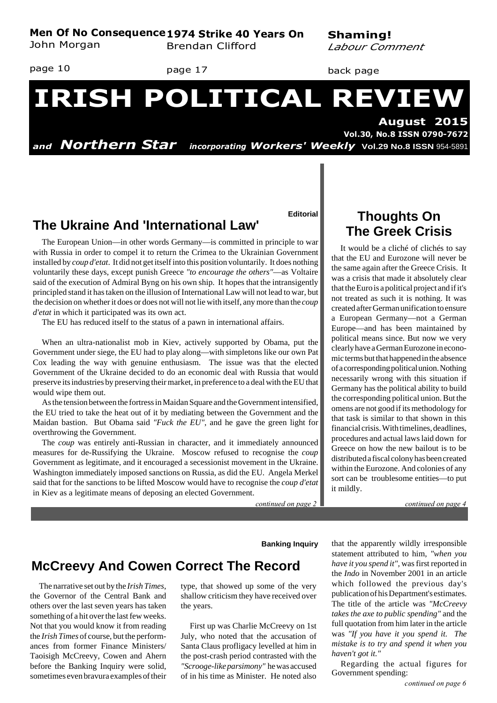<span id="page-0-0"></span>John Morgan

Brendan Clifford

**Shaming!**  *Labour Comment*

page 10

page 17

back page

# **IRISH POLITICAL REVIEW**

 **Vol.30, No.8 ISSN 0790-7672**  *and Northern Star incorporating Workers' Weekly* **Vol.29 No.8 ISSN** 954-5891

**Editorial**

 **The Ukraine And 'International Law'**

 The European Union—in other words Germany—is committed in principle to war with Russia in order to compel it to return the Crimea to the Ukrainian Government installed by *coup d'etat*. It did not get itself into this position voluntarily. It does nothing voluntarily these days, except punish Greece *"to encourage the others"*—as Voltaire said of the execution of Admiral Byng on his own ship. It hopes that the intransigently principled stand it has taken on the illusion of International Law will not lead to war, but the decision on whether it does or does not will not lie with itself, any more than the *coup d'etat* in which it participated was its own act.

The EU has reduced itself to the status of a pawn in international affairs.

 When an ultra-nationalist mob in Kiev, actively supported by Obama, put the Government under siege, the EU had to play along—with simpletons like our own Pat Cox leading the way with genuine enthusiasm. The issue was that the elected Government of the Ukraine decided to do an economic deal with Russia that would preserve its industries by preserving their market, in preference to a deal with the EU that would wipe them out.

 As the tension between the fortress in Maidan Square and the Government intensified, the EU tried to take the heat out of it by mediating between the Government and the Maidan bastion. But Obama said *"Fuck the EU"*, and he gave the green light for overthrowing the Government.

 The *coup* was entirely anti-Russian in character, and it immediately announced measures for de-Russifying the Ukraine. Moscow refused to recognise the *coup* Government as legitimate, and it encouraged a secessionist movement in the Ukraine. Washington immediately imposed sanctions on Russia, as did the EU. Angela Merkel said that for the sanctions to be lifted Moscow would have to recognise the *coup d'etat* in Kiev as a legitimate means of deposing an elected Government.

*continued on page 2*

## **Thoughts On The Greek Crisis**

 **August 2015**

 It would be a cliché of clichés to say that the EU and Eurozone will never be the same again after the Greece Crisis. It was a crisis that made it absolutely clear that the Euro is a political project and if it's not treated as such it is nothing. It was created after German unification to ensure a European Germany—not a German Europe—and has been maintained by political means since. But now we very clearly have a German Eurozone in econo mic terms but that happened in the absence of a corresponding political union. Nothing necessarily wrong with this situation if Germany has the political ability to build the corresponding political union. But the omens are not good if its methodology for that task is similar to that shown in this financial crisis. With timelines, deadlines, procedures and actual laws laid down for Greece on how the new bailout is to be distributed a fiscal colony has been created within the Eurozone. And colonies of any sort can be troublesome entities—to put it mildly.

 *continued on page 4*

 **Banking Inquiry**

## **McCreevy And Cowen Correct The Record**

 The narrative set out by the *Irish Times*, the Governor of the Central Bank and others over the last seven years has taken something of a hit over the last few weeks. Not that you would know it from reading the *Irish Times* of course, but the perform ances from former Finance Ministers/ Taoisigh McCreevy, Cowen and Ahern before the Banking Inquiry were solid, sometimes even bravura examples of their type, that showed up some of the very shallow criticism they have received over the years.

 First up was Charlie McCreevy on 1st July, who noted that the accusation of Santa Claus profligacy levelled at him in the post-crash period contrasted with the  *"Scrooge-like parsimony"* he was accused of in his time as Minister. He noted also

that the apparently wildly irresponsible statement attributed to him, *"when you have it you spend it",* was first reported in the *Indo* in November 2001 in an article which followed the previous day's publication of his Department's estimates. The title of the article was *"McCreevy takes the axe to public spending"* and the full quotation from him later in the article was *"If you have it you spend it. The mistake is to try and spend it when you haven't got it."*

 Regarding the actual figures for Government spending: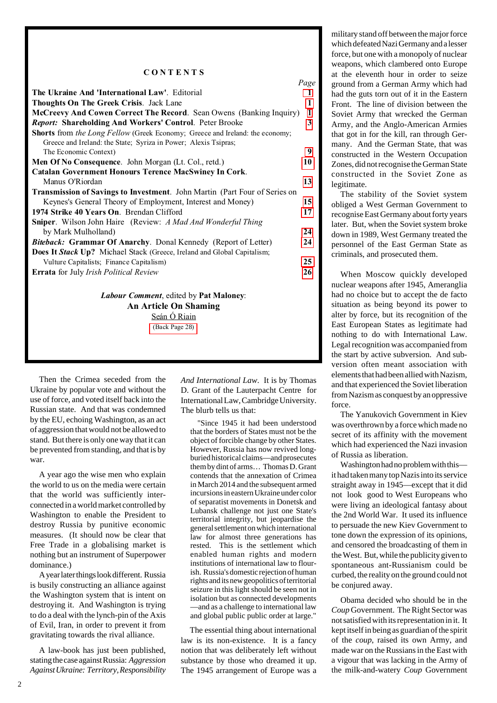| <b>CONTENTS</b>                                                              |      |
|------------------------------------------------------------------------------|------|
|                                                                              | Page |
| The Ukraine And 'International Law'. Editorial                               | 1    |
| <b>Thoughts On The Greek Crisis. Jack Lane</b>                               | 1    |
| McCreevy And Cowen Correct The Record. Sean Owens (Banking Inquiry)          | 1    |
| Report: Shareholding And Workers' Control. Peter Brooke                      | 3    |
| Shorts from the Long Fellow (Greek Economy; Greece and Ireland: the economy; |      |
| Greece and Ireland: the State; Syriza in Power; Alexis Tsipras;              |      |
| The Economic Context)                                                        | 9    |
| <b>Men Of No Consequence.</b> John Morgan (Lt. Col., retd.)                  | 10   |
| <b>Catalan Government Honours Terence MacSwiney In Cork.</b>                 |      |
| Manus O'Riordan                                                              | 13   |
| Transmission of Savings to Investment. John Martin (Part Four of Series on   |      |
| Keynes's General Theory of Employment, Interest and Money)                   | 15   |
| 1974 Strike 40 Years On. Brendan Clifford                                    | 17   |
| Sniper. Wilson John Haire (Review: A Mad And Wonderful Thing                 |      |
| by Mark Mulholland)                                                          | 24   |
| <b>Biteback: Grammar Of Anarchy.</b> Donal Kennedy (Report of Letter)        | 24   |
| Does It Stack Up? Michael Stack (Greece, Ireland and Global Capitalism;      |      |
| Vulture Capitalists; Finance Capitalism)                                     | 25   |
| <b>Errata</b> for July <i>Irish Political Review</i>                         | 26   |
|                                                                              |      |
| <b>Labour Comment, edited by Pat Maloney:</b>                                |      |
| <b>An Article On Shaming</b>                                                 |      |
| Seán Ó Riain                                                                 |      |
| (Back Page 28)                                                               |      |

 Then the Crimea seceded from the Ukraine by popular vote and without the use of force, and voted itself back into the Russian state. And that was condemned by the EU, echoing Washington, as an act of aggression that would not be allowed to stand. But there is only one way that it can be prevented from standing, and that is by war.

 A year ago the wise men who explain the world to us on the media were certain that the world was sufficiently inter connected in a world market controlled by Washington to enable the President to destroy Russia by punitive economic measures. (It should now be clear that Free Trade in a globalising market is nothing but an instrument of Superpower dominance.)

 A year later things look different. Russia is busily constructing an alliance against the Washington system that is intent on destroying it. And Washington is trying to do a deal with the lynch-pin of the Axis of Evil, Iran, in order to prevent it from gravitating towards the rival alliance.

 A law-book has just been published, stating the case against Russia: *Aggression Against Ukraine: Territory, Responsibility*

*And International Law*. It is by Thomas D. Grant of the Lauterpacht Centre for International Law, Cambridge University. The blurb tells us that:

 "Since 1945 it had been understood that the borders of States must not be the object of forcible change by other States. However, Russia has now revived long buried historical claims—and prosecutes them by dint of arms… Thomas D. Grant contends that the annexation of Crimea in March 2014 and the subsequent armed incursions in eastern Ukraine under color of separatist movements in Donetsk and Lubansk challenge not just one State's territorial integrity, but jeopardise the general settlement on which international law for almost three generations has rested. This is the settlement which enabled human rights and modern institutions of international law to flour ish. Russia's domestic rejection of human rights and its new geopolitics of territorial seizure in this light should be seen not in isolation but as connected developments —and as a challenge to international law and global public public order at large."

 The essential thing about international law is its non-existence. It is a fancy notion that was deliberately left without substance by those who dreamed it up. The 1945 arrangement of Europe was a military stand off between the major force which defeated Nazi Germany and a lesser force, but one with a monopoly of nuclear weapons, which clambered onto Europe at the eleventh hour in order to seize ground from a German Army which had had the guts torn out of it in the Eastern Front. The line of division between the Soviet Army that wrecked the German Army, and the Anglo-American Armies that got in for the kill, ran through Ger many. And the German State, that was constructed in the Western Occupation Zones, did not recognise the German State constructed in the Soviet Zone as legitimate.

 The stability of the Soviet system obliged a West German Government to recognise East Germany about forty years later. But, when the Soviet system broke down in 1989, West Germany treated the personnel of the East German State as criminals, and prosecuted them.

 When Moscow quickly developed nuclear weapons after 1945, Ameranglia had no choice but to accept the de facto situation as being beyond its power to alter by force, but its recognition of the East European States as legitimate had nothing to do with International Law. Legal recognition was accompanied from the start by active subversion. And sub version often meant association with elements that had been allied with Nazism, and that experienced the Soviet liberation from Nazism as conquest by an oppressive force.

 The Yanukovich Government in Kiev was overthrown by a force which made no secret of its affinity with the movement which had experienced the Nazi invasion of Russia as liberation.

 Washington had no problem with this it had taken many top Nazis into its service straight away in 1945—except that it did not look good to West Europeans who were living an ideological fantasy about the 2nd World War. It used its influence to persuade the new Kiev Government to tone down the expression of its opinions, and censored the broadcasting of them in the West. But, while the publicity given to spontaneous ant-Russianism could be curbed, the reality on the ground could not be conjured away.

 Obama decided who should be in the  *Coup* Government. The Right Sector was not satisfied with its representation in it. It kept itself in being as guardian of the spirit of the *coup*, raised its own Army, and made war on the Russians in the East with a vigour that was lacking in the Army of the milk-and-watery *Coup* Government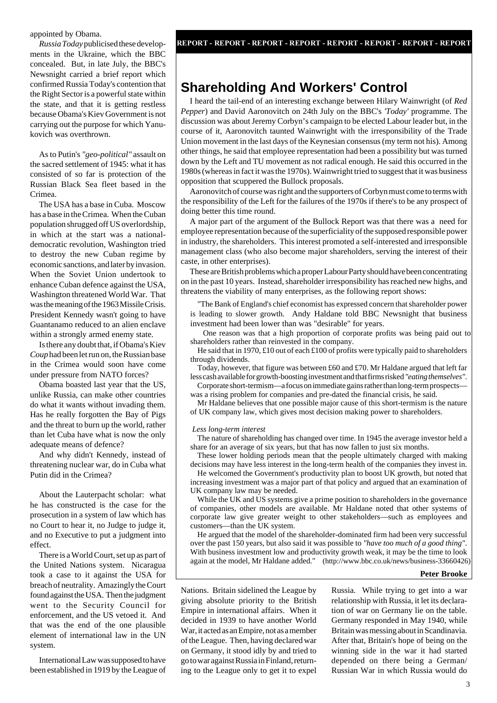<span id="page-2-0"></span>appointed by Obama.

*Russia Today*publicised these developments in the Ukraine, which the BBC concealed. But, in late July, the BBC's Newsnight carried a brief report which confirmed Russia Today's contention that the Right Sector is a powerful state within the state, and that it is getting restless because Obama's Kiev Government is not carrying out the purpose for which Yanukovich was overthrown.

As to Putin's *"geo-political"* assault on the sacred settlement of 1945: what it has consisted of so far is protection of the Russian Black Sea fleet based in the Crimea.

The USA has a base in Cuba. Moscow has a base in the Crimea. When the Cuban population shrugged off US overlordship, in which at the start was a nationaldemocratic revolution, Washington tried to destroy the new Cuban regime by economic sanctions, and later by invasion. When the Soviet Union undertook to enhance Cuban defence against the USA, Washington threatened World War. That was the meaning of the 1963 Missile Crisis. President Kennedy wasn't going to have Guantanamo reduced to an alien enclave within a strongly armed enemy state.

Is there any doubt that, if Obama's Kiev *Coup*had been let run on, the Russian base in the Crimea would soon have come under pressure from NATO forces?

Obama boasted last year that the US, unlike Russia, can make other countries do what it wants without invading them. Has he really forgotten the Bay of Pigs and the threat to burn up the world, rather than let Cuba have what is now the only adequate means of defence?

And why didn't Kennedy, instead of threatening nuclear war, do in Cuba what Putin did in the Crimea?

About the Lauterpacht scholar: what he has constructed is the case for the prosecution in a system of law which has no Court to hear it, no Judge to judge it, and no Executive to put a judgment into effect.

There is a World Court, set up as part of the United Nations system. Nicaragua took a case to it against the USA for breach of neutrality. Amazingly the Court found against the USA. Then the judgment went to the Security Council for enforcement, and the US vetoed it. And that was the end of the one plausible element of international law in the UN system.

International Law was supposed to have been established in 1919 by the League of

#### **REPORT - REPORT - REPORT - REPORT - REPORT - REPORT - REPORT - REPORT -**

## **Shareholding And Workers' Control**

I heard the tail-end of an interesting exchange between Hilary Wainwright (of *Red Pepper*) and David Aaronovitch on 24th July on the BBC's *'Today'* programme. The discussion was about Jeremy Corbyn's campaign to be elected Labour leader but, in the course of it, Aaronovitch taunted Wainwright with the irresponsibility of the Trade Union movement in the last days of the Keynesian consensus (my term not his). Among other things, he said that employee representation had been a possibility but was turned down by the Left and TU movement as not radical enough. He said this occurred in the 1980s (whereas in fact it was the 1970s). Wainwright tried to suggest that it was business opposition that scuppered the Bullock proposals.

Aaronovitch of course was right and the supporters of Corbyn must come to terms with the responsibility of the Left for the failures of the 1970s if there's to be any prospect of doing better this time round.

A major part of the argument of the Bullock Report was that there was a need for employee representation because of the superficiality of the supposed responsible power in industry, the shareholders. This interest promoted a self-interested and irresponsible management class (who also become major shareholders, serving the interest of their caste, in other enterprises).

These are British problems which a proper Labour Party should have been concentrating on in the past 10 years. Instead, shareholder irresponsibility has reached new highs, and threatens the viability of many enterprises, as the following report shows:

"The Bank of England's chief economist has expressed concern that shareholder power is leading to slower growth. Andy Haldane told BBC Newsnight that business investment had been lower than was "desirable" for years.

One reason was that a high proportion of corporate profits was being paid out to shareholders rather than reinvested in the company.

He said that in 1970, £10 out of each £100 of profits were typically paid to shareholders through dividends.

Today, however, that figure was between £60 and £70. Mr Haldane argued that left far less cash available for growth-boosting investment and that firms risked*"eating themselves"*.

Corporate short-termism—a focus on immediate gains rather than long-term prospects was a rising problem for companies and pre-dated the financial crisis, he said.

Mr Haldane believes that one possible major cause of this short-termism is the nature of UK company law, which gives most decision making power to shareholders.

#### *Less long-term interest*

The nature of shareholding has changed over time. In 1945 the average investor held a share for an average of six years, but that has now fallen to just six months.

These lower holding periods mean that the people ultimately charged with making decisions may have less interest in the long-term health of the companies they invest in.

He welcomed the Government's productivity plan to boost UK growth, but noted that increasing investment was a major part of that policy and argued that an examination of UK company law may be needed.

While the UK and US systems give a prime position to shareholders in the governance of companies, other models are available. Mr Haldane noted that other systems of corporate law give greater weight to other stakeholders—such as employees and customers—than the UK system.

He argued that the model of the shareholder-dominated firm had been very successful over the past 150 years, but also said it was possible to *"have too much of a good thing"*. With business investment low and productivity growth weak, it may be the time to look again at the model, Mr Haldane added." (http://www.bbc.co.uk/news/business-33660426)

#### **Peter Brooke**

Nations. Britain sidelined the League by giving absolute priority to the British Empire in international affairs. When it decided in 1939 to have another World War, it acted as an Empire, not as a member of the League. Then, having declared war on Germany, it stood idly by and tried to go to war against Russia in Finland, returning to the League only to get it to expel

Russia. While trying to get into a war relationship with Russia, it let its declaration of war on Germany lie on the table. Germany responded in May 1940, while Britain was messing about in Scandinavia. After that, Britain's hope of being on the winning side in the war it had started depended on there being a German/ Russian War in which Russia would do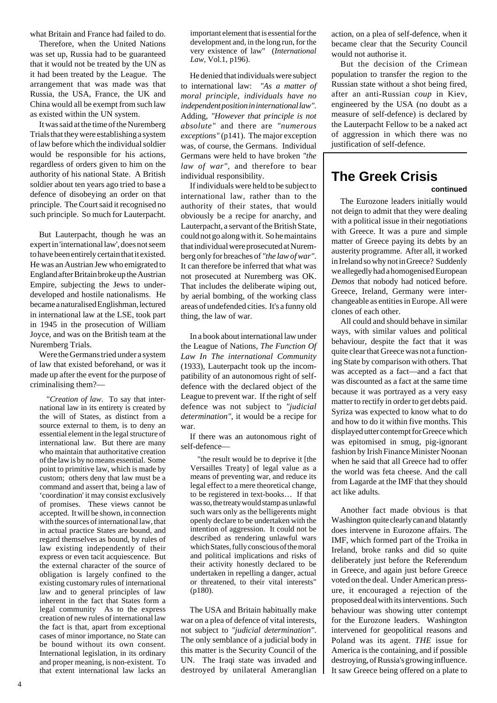what Britain and France had failed to do.

 Therefore, when the United Nations was set up, Russia had to be guaranteed that it would not be treated by the UN as it had been treated by the League. The arrangement that was made was that Russia, the USA, France, the UK and China would all be exempt from such law as existed within the UN system.

 It was said at the time of the Nuremberg Trials that they were establishing a system of law before which the individual soldier would be responsible for his actions, regardless of orders given to him on the authority of his national State. A British soldier about ten years ago tried to base a defence of disobeying an order on that principle. The Court said it recognised no such principle. So much for Lauterpacht.

 But Lauterpacht, though he was an expert in 'international law', does not seem to have been entirely certain that it existed. He was an Austrian Jew who emigrated to England after Britain broke up the Austrian Empire, subjecting the Jews to under developed and hostile nationalisms. He became a naturalised Englishman, lectured in international law at the LSE, took part in 1945 in the prosecution of William Joyce, and was on the British team at the Nuremberg Trials.

 Were the Germans tried under a system of law that existed beforehand, or was it made up after the event for the purpose of criminalising them?—

 "*Creation of law*. To say that inter national law in its entirety is created by the will of States, as distinct from a source external to them, is to deny an essential element in the legal structure of international law. But there are many who maintain that authoritative creation of the law is by no means essential. Some point to primitive law, which is made by custom; others deny that law must be a command and assert that, being a law of 'coordination' it may consist exclusively of promises. These views cannot be accepted. It will be shown, in connection with the sources of international law, that in actual practice States are bound, and regard themselves as bound, by rules of law existing independently of their express or even tacit acquiescence. But the external character of the source of obligation is largely confined to the existing customary rules of international law and to general principles of law inherent in the fact that States form a legal community As to the express creation of new rules of international law the fact is that, apart from exceptional cases of minor importance, no State can be bound without its own consent. International legislation, in its ordinary and proper meaning, is non-existent. To that extent international law lacks an

important element that is essential for the development and, in the long run, for the very existence of law" (*International Law*, Vol.1, p196).

 He denied that individuals were subject to international law: *"As a matter of moral principle, individuals have no independent position in international law"*. Adding, *"However that principle is not absolute"* and there are *"numerous exceptions"* (p141). The major exception was, of course, the Germans. Individual Germans were held to have broken *"the law of war"*, and therefore to bear individual responsibility.

 If individuals were held to be subject to international law, rather than to the authority of their states, that would obviously be a recipe for anarchy, and Lauterpacht, a servant of the British State, could not go along with it. So he maintains that individual were prosecuted at Nurem berg only for breaches of *"the law of war"*. It can therefore be inferred that what was not prosecuted at Nuremberg was OK. That includes the deliberate wiping out, by aerial bombing, of the working class areas of undefended cities. It's a funny old thing, the law of war.

 In a book about international law under the League of Nations, *The Function Of Law In The international Community* (1933), Lauterpacht took up the incom patibility of an autonomous right of self defence with the declared object of the League to prevent war. If the right of self defence was not subject to *"judicial determination"*, it would be a recipe for war.

 If there was an autonomous right of self-defence—

 "the result would be to deprive it [the Versailles Treaty] of legal value as a means of preventing war, and reduce its legal effect to a mere theoretical change, to be registered in text-books… If that was so, the treaty would stamp as unlawful such wars only as the belligerents might openly declare to be undertaken with the intention of aggression. It could not be described as rendering unlawful wars which States, fully conscious of the moral and political implications and risks of their activity honestly declared to be undertaken in repelling a danger, actual or threatened, to their vital interests" (p180).

 The USA and Britain habitually make war on a plea of defence of vital interests, not subject to *"judicial determination"*. The only semblance of a judicial body in this matter is the Security Council of the UN. The Iraqi state was invaded and destroyed by unilateral Ameranglian action, on a plea of self-defence, when it became clear that the Security Council would not authorise it.

 But the decision of the Crimean population to transfer the region to the Russian state without a shot being fired, after an anti-Russian *coup* in Kiev, engineered by the USA (no doubt as a measure of self-defence) is declared by the Lauterpacht Fellow to be a naked act of aggression in which there was no justification of self-defence.

## **The Greek Crisis**

#### **continued**

 The Eurozone leaders initially would not deign to admit that they were dealing with a political issue in their negotiations with Greece. It was a pure and simple matter of Greece paying its debts by an austerity programme. After all, it worked in Ireland so why not in Greece? Suddenly we allegedly had a homogenised European  *Demos* that nobody had noticed before. Greece, Ireland, Germany were inter changeable as entities in Europe. All were clones of each other.

 All could and should behave in similar ways, with similar values and political behaviour, despite the fact that it was quite clear that Greece was not a function ing State by comparison with others. That was accepted as a fact—and a fact that was discounted as a fact at the same time because it was portrayed as a very easy matter to rectify in order to get debts paid. Syriza was expected to know what to do and how to do it within five months. This displayed utter contempt for Greece which was epitomised in smug, pig-ignorant fashion by Irish Finance Minister Noonan when he said that all Greece had to offer the world was feta cheese. And the call from Lagarde at the IMF that they should act like adults.

 Another fact made obvious is that Washington quite clearly can and blatantly does intervene in Eurozone affairs. The IMF, which formed part of the Troika in Ireland, broke ranks and did so quite deliberately just before the Referendum in Greece, and again just before Greece voted on the deal. Under American press ure, it encouraged a rejection of the proposed deal with its interventions. Such behaviour was showing utter contempt for the Eurozone leaders. Washington intervened for geopolitical reasons and Poland was its agent. *THE* issue for America is the containing, and if possible destroying, of Russia's growing influence. It saw Greece being offered on a plate to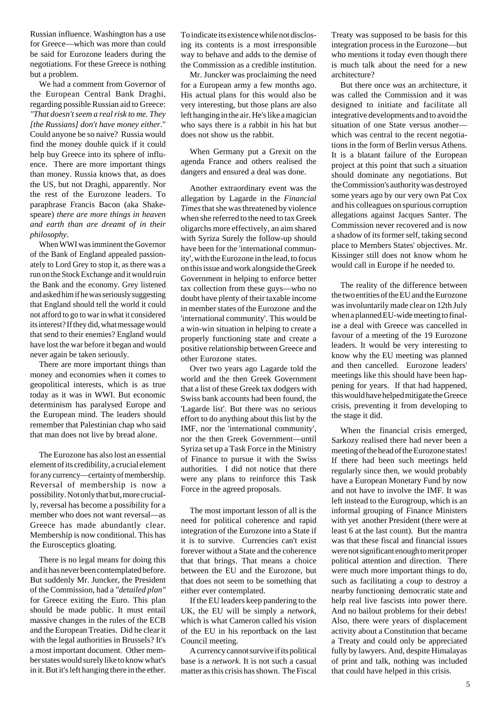Russian influence. Washington has a use for Greece—which was more than could be said for Eurozone leaders during the negotiations. For these Greece is nothing but a problem.

We had a comment from Governor of the European Central Bank Draghi, regarding possible Russian aid to Greece: *"That doesn't seem a real risk to me. They [the Russians] don't have money either*." Could anyone be so naive? Russia would find the money double quick if it could help buy Greece into its sphere of influence. There are more important things than money. Russia knows that, as does the US, but not Draghi, apparently. Nor the rest of the Eurozone leaders. To paraphrase Francis Bacon (aka Shakespeare) *there are more things in heaven and earth than are dreamt of in their philosophy*.

When WWI was imminent the Governor of the Bank of England appealed passionately to Lord Grey to stop it, as there was a run on the Stock Exchange and it would ruin the Bank and the economy. Grey listened and asked him if he was seriously suggesting that England should tell the world it could not afford to go to war in what it considered its interest? If they did, what message would that send to their enemies? England would have lost the war before it began and would never again be taken seriously.

There are more important things than money and economies when it comes to geopolitical interests, which is as true today as it was in WWI. But economic determinism has paralysed Europe and the European mind. The leaders should remember that Palestinian chap who said that man does not live by bread alone.

The Eurozone has also lost an essential element of its credibility, a crucial element for any currency—certainty of membership. Reversal of membership is now a possibility. Not only that but, more crucially, reversal has become a possibility for a member who does not want reversal—as Greece has made abundantly clear. Membership is now conditional. This has the Eurosceptics gloating.

There is no legal means for doing this and it has never been contemplated before. But suddenly Mr. Juncker, the President of the Commission, had a *"detailed plan"* for Greece exiting the Euro. This plan should be made public. It must entail massive changes in the rules of the ECB and the European Treaties. Did he clear it with the legal authorities in Brussels? It's a most important document. Other member states would surely like to know what's in it. But it's left hanging there in the ether.

To indicate its existence while not disclosing its contents is a most irresponsible way to behave and adds to the demise of the Commission as a credible institution.

Mr. Juncker was proclaiming the need for a European army a few months ago. His actual plans for this would also be very interesting, but those plans are also left hanging in the air. He's like a magician who says there is a rabbit in his hat but does not show us the rabbit.

When Germany put a Grexit on the agenda France and others realised the dangers and ensured a deal was done.

Another extraordinary event was the allegation by Lagarde in the *Financial Times*that she was threatened by violence when she referred to the need to tax Greek oligarchs more effectively, an aim shared with Syriza Surely the follow-up should have been for the 'international community', with the Eurozone in the lead, to focus on this issue and work alongside the Greek Government in helping to enforce better tax collection from these guys—who no doubt have plenty of their taxable income in member states of the Eurozone and the 'international community'. This would be a win-win situation in helping to create a properly functioning state and create a positive relationship between Greece and other Eurozone states.

Over two years ago Lagarde told the world and the then Greek Government that a list of these Greek tax dodgers with Swiss bank accounts had been found, the 'Lagarde list'. But there was no serious effort to do anything about this list by the IMF, nor the 'international community', nor the then Greek Government—until Syriza set up a Task Force in the Ministry of Finance to pursue it with the Swiss authorities. I did not notice that there were any plans to reinforce this Task Force in the agreed proposals.

The most important lesson of all is the need for political coherence and rapid integration of the Eurozone into a State if it is to survive. Currencies can't exist forever without a State and the coherence that that brings. That means a choice between the EU and the Eurozone, but that does not seem to be something that either ever contemplated.

If the EU leaders keep pandering to the UK, the EU will be simply a *network*, which is what Cameron called his vision of the EU in his reportback on the last Council meeting.

A currency cannot survive if its political base is a *network*. It is not such a casual matter as this crisis has shown. The Fiscal

Treaty was supposed to be basis for this integration process in the Eurozone—but who mentions it today even though there is much talk about the need for a new architecture?

But there once *was* an architecture, it was called the Commission and it was designed to initiate and facilitate all integrative developments and to avoid the situation of one State versus another which was central to the recent negotiations in the form of Berlin versus Athens. It is a blatant failure of the European project at this point that such a situation should dominate any negotiations. But the Commission's authority was destroyed some years ago by our very own Pat Cox and his colleagues on spurious corruption allegations against Jacques Santer. The Commission never recovered and is now a shadow of its former self, taking second place to Members States' objectives. Mr. Kissinger still does not know whom he would call in Europe if he needed to.

The reality of the difference between the two entities of the EU and the Eurozone was involuntarily made clear on 12th July when a planned EU-wide meeting to finalise a deal with Greece was cancelled in favour of a meeting of the 19 Eurozone leaders. It would be very interesting to know why the EU meeting was planned and then cancelled. Eurozone leaders' meetings like this should have been happening for years. If that had happened, this would have helped mitigate the Greece crisis, preventing it from developing to the stage it did.

When the financial crisis emerged, Sarkozy realised there had never been a meeting of the head of the Eurozone states! If there had been such meetings held regularly since then, we would probably have a European Monetary Fund by now and not have to involve the IMF. It was left instead to the Eurogroup, which is an informal grouping of Finance Ministers with yet another President (there were at least 6 at the last count). But the mantra was that these fiscal and financial issues were not significant enough to merit proper political attention and direction. There were much more important things to do, such as facilitating a *coup* to destroy a nearby functioning democratic state and help real live fascists into power there. And no bailout problems for their debts! Also, there were years of displacement activity about a Constitution that became a Treaty and could only be appreciated fully by lawyers. And, despite Himalayas of print and talk, nothing was included that could have helped in this crisis.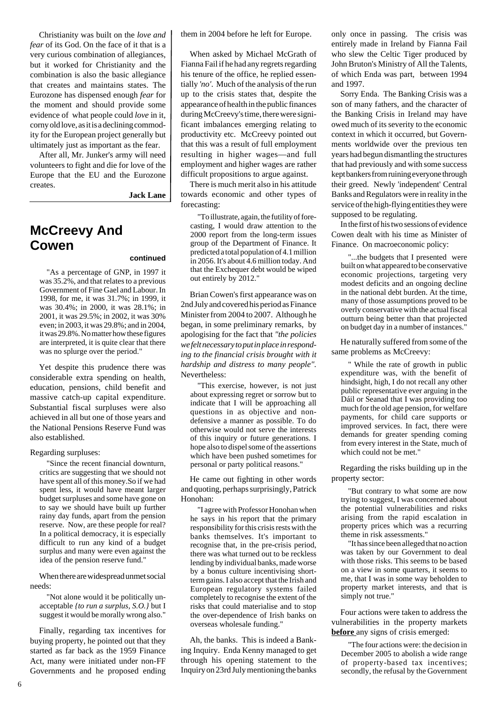Christianity was built on the *love and fear* of its God. On the face of it that is a very curious combination of allegiances, but it worked for Christianity and the combination is also the basic allegiance that creates and maintains states. The Eurozone has dispensed enough *fear* for the moment and should provide some evidence of what people could *love* in it, corny old love, as it is a declining commod ity for the European project generally but ultimately just as important as the fear.

 After all, Mr. Junker's army will need volunteers to fight and die for love of the Europe that the EU and the Eurozone creates.

 **Jack Lane**

## **McCreevy And Cowen**

#### **continued**

 "As a percentage of GNP, in 1997 it was 35.2%, and that relates to a previous Government of Fine Gael and Labour. In 1998, for me, it was 31.7%; in 1999, it was 30.4%; in 2000, it was 28.1%; in 2001, it was 29.5%; in 2002, it was 30% even; in 2003, it was 29.8%; and in 2004, it was 29.8%. No matter how these figures are interpreted, it is quite clear that there was no splurge over the period."

 Yet despite this prudence there was considerable extra spending on health, education, pensions, child benefit and massive catch-up capital expenditure. Substantial fiscal surpluses were also achieved in all but one of those years and the National Pensions Reserve Fund was also established.

#### Regarding surpluses:

 "Since the recent financial downturn, critics are suggesting that we should not have spent all of this money.So if we had spent less, it would have meant larger budget surpluses and some have gone on to say we should have built up further rainy day funds, apart from the pension reserve. Now, are these people for real? In a political democracy, it is especially difficult to run any kind of a budget surplus and many were even against the idea of the pension reserve fund."

 When there are widespread unmet social needs:

 "Not alone would it be politically un acceptable *{to run a surplus, S.O.}* but I suggest it would be morally wrong also."

 Finally, regarding tax incentives for buying property, he pointed out that they started as far back as the 1959 Finance Act, many were initiated under non-FF Governments and he proposed ending

them in 2004 before he left for Europe.

 When asked by Michael McGrath of Fianna Fail if he had any regrets regarding his tenure of the office, he replied essen tially *'no'*. Much of the analysis of the run up to the crisis states that, despite the appearance of health in the public finances during McCreevy's time, there were signi ficant imbalances emerging relating to productivity etc. McCreevy pointed out that this was a result of full employment resulting in higher wages—and full employment and higher wages are rather difficult propositions to argue against.

 There is much merit also in his attitude towards economic and other types of forecasting:

 "To illustrate, again, the futility of fore casting, I would draw attention to the 2000 report from the long-term issues group of the Department of Finance. It predicted a total population of 4.1 million in 2056. It's about 4.6 million today. And that the Exchequer debt would be wiped out entirely by 2012."

 Brian Cowen's first appearance was on 2nd July and covered his period as Finance Minister from 2004 to 2007. Although he began, in some preliminary remarks, by apologising for the fact that *"the policies we felt necessary to put in place in respond ing to the financial crisis brought with it hardship and distress to many people".* Nevertheless:

 "This exercise, however, is not just about expressing regret or sorrow but to indicate that I will be approaching all questions in as objective and non defensive a manner as possible. To do otherwise would not serve the interests of this inquiry or future generations. I hope also to dispel some of the assertions which have been pushed sometimes for personal or party political reasons."

 He came out fighting in other words and quoting, perhaps surprisingly, Patrick Honohan:

 "I agree with Professor Honohan when he says in his report that the primary responsibility for this crisis rests with the banks themselves. It's important to recognise that, in the pre-crisis period, there was what turned out to be reckless lending by individual banks, made worse by a bonus culture incentivising short term gains. I also accept that the Irish and European regulatory systems failed completely to recognise the extent of the risks that could materialise and to stop the over-dependence of Irish banks on overseas wholesale funding."

 Ah, the banks. This is indeed a Bank ing Inquiry. Enda Kenny managed to get through his opening statement to the Inquiry on 23rd July mentioning the banks

only once in passing. The crisis was entirely made in Ireland by Fianna Fail who slew the Celtic Tiger produced by John Bruton's Ministry of All the Talents, of which Enda was part, between 1994 and 1997.

 Sorry Enda. The Banking Crisis was a son of many fathers, and the character of the Banking Crisis in Ireland may have owed much of its severity to the economic context in which it occurred, but Govern ments worldwide over the previous ten years had begun dismantling the structures that had previously and with some success kept bankers from ruining everyone through their greed. Newly 'independent' Central Banks and Regulators were in reality in the service of the high-flying entities they were supposed to be regulating.

 In the first of his two sessions of evidence Cowen dealt with his time as Minister of Finance. On macroeconomic policy:

 "...the budgets that I presented were built on what appeared to be conservative economic projections, targeting very modest deficits and an ongoing decline in the national debt burden. At the time, many of those assumptions proved to be overly conservative with the actual fiscal outturn being better than that projected on budget day in a number of instances."

 He naturally suffered from some of the same problems as McCreevy:

 " While the rate of growth in public expenditure was, with the benefit of hindsight, high, I do not recall any other public representative ever arguing in the Dáil or Seanad that I was providing too much for the old age pension, for welfare payments, for child care supports or improved services. In fact, there were demands for greater spending coming from every interest in the State, much of which could not be met."

 Regarding the risks building up in the property sector:

 "But contrary to what some are now trying to suggest, I was concerned about the potential vulnerabilities and risks arising from the rapid escalation in property prices which was a recurring theme in risk assessments."

 "It has since been alleged that no action was taken by our Government to deal with those risks. This seems to be based on a view in some quarters, it seems to me, that I was in some way beholden to property market interests, and that is simply not true."

 Four actions were taken to address the vulnerabilities in the property markets  **before** any signs of crisis emerged:

 "The four actions were: the decision in December 2005 to abolish a wide range of property-based tax incentives; secondly, the refusal by the Government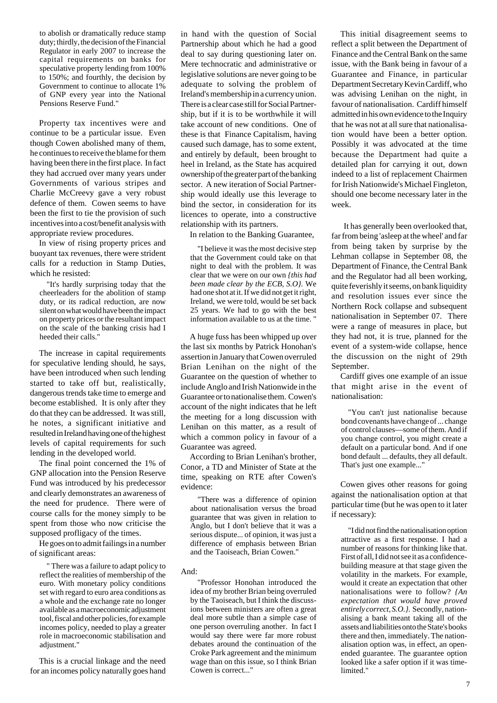to abolish or dramatically reduce stamp duty; thirdly, the decision of the Financial Regulator in early 2007 to increase the capital requirements on banks for speculative property lending from 100% to 150%; and fourthly, the decision by Government to continue to allocate 1% of GNP every year into the National Pensions Reserve Fund."

Property tax incentives were and continue to be a particular issue. Even though Cowen abolished many of them, he continues to receive the blame for them having been there in the first place. In fact they had accrued over many years under Governments of various stripes and Charlie McCreevy gave a very robust defence of them. Cowen seems to have been the first to tie the provision of such incentives into a cost/benefit analysis with appropriate review procedures.

In view of rising property prices and buoyant tax revenues, there were strident calls for a reduction in Stamp Duties, which he resisted:

"It's hardly surprising today that the cheerleaders for the abolition of stamp duty, or its radical reduction, are now silent on what would have been the impact on property prices or the resultant impact on the scale of the banking crisis had I heeded their calls."

The increase in capital requirements for speculative lending should, he says, have been introduced when such lending started to take off but, realistically, dangerous trends take time to emerge and become established. It is only after they do that they can be addressed. It was still, he notes, a significant initiative and resulted in Ireland having one of the highest levels of capital requirements for such lending in the developed world.

The final point concerned the 1% of GNP allocation into the Pension Reserve Fund was introduced by his predecessor and clearly demonstrates an awareness of the need for prudence. There were of course calls for the money simply to be spent from those who now criticise the supposed profligacy of the times.

He goes on to admit failings in a number of significant areas:

" There was a failure to adapt policy to reflect the realities of membership of the euro. With monetary policy conditions set with regard to euro area conditions as a whole and the exchange rate no longer available as a macroeconomic adjustment tool, fiscal and other policies, for example incomes policy, needed to play a greater role in macroeconomic stabilisation and adjustment."

This is a crucial linkage and the need for an incomes policy naturally goes hand

in hand with the question of Social Partnership about which he had a good deal to say during questioning later on. Mere technocratic and administrative or legislative solutions are never going to be adequate to solving the problem of Ireland's membership in a currency union. There is a clear case still for Social Partnership, but if it is to be worthwhile it will take account of new conditions. One of these is that Finance Capitalism, having caused such damage, has to some extent, and entirely by default, been brought to heel in Ireland, as the State has acquired ownership of the greater part of the banking sector. A new iteration of Social Partnership would ideally use this leverage to bind the sector, in consideration for its licences to operate, into a constructive relationship with its partners.

In relation to the Banking Guarantee,

"I believe it was the most decisive step that the Government could take on that night to deal with the problem. It was clear that we were on our own *{this had been made clear by the ECB, S.O}.* We had one shot at it. If we did not get it right, Ireland, we were told, would be set back 25 years. We had to go with the best information available to us at the time. "

A huge fuss has been whipped up over the last six months by Patrick Honohan's assertion in January that Cowen overruled Brian Lenihan on the night of the Guarantee on the question of whether to include Anglo and Irish Nationwide in the Guarantee or to nationalise them. Cowen's account of the night indicates that he left the meeting for a long discussion with Lenihan on this matter, as a result of which a common policy in favour of a Guarantee was agreed.

According to Brian Lenihan's brother, Conor, a TD and Minister of State at the time, speaking on RTE after Cowen's evidence:

"There was a difference of opinion about nationalisation versus the broad guarantee that was given in relation to Anglo, but I don't believe that it was a serious dispute... of opinion, it was just a difference of emphasis between Brian and the Taoiseach, Brian Cowen."

#### And:

"Professor Honohan introduced the idea of my brother Brian being overruled by the Taoiseach, but I think the discussions between ministers are often a great deal more subtle than a simple case of one person overruling another. In fact I would say there were far more robust debates around the continuation of the Croke Park agreement and the minimum wage than on this issue, so I think Brian Cowen is correct..."

This initial disagreement seems to reflect a split between the Department of Finance and the Central Bank on the same issue, with the Bank being in favour of a Guarantee and Finance, in particular Department Secretary Kevin Cardiff, who was advising Lenihan on the night, in favour of nationalisation. Cardiff himself admitted in his own evidence to the Inquiry that he was not at all sure that nationalisation would have been a better option. Possibly it was advocated at the time because the Department had quite a detailed plan for carrying it out, down indeed to a list of replacement Chairmen for Irish Nationwide's Michael Fingleton, should one become necessary later in the week.

It has generally been overlooked that, far from being 'asleep at the wheel' and far from being taken by surprise by the Lehman collapse in September 08, the Department of Finance, the Central Bank and the Regulator had all been working, quite feverishly it seems, on bank liquidity and resolution issues ever since the Northern Rock collapse and subsequent nationalisation in September 07. There were a range of measures in place, but they had not, it is true, planned for the event of a system-wide collapse, hence the discussion on the night of 29th September.

Cardiff gives one example of an issue that might arise in the event of nationalisation:

"You can't just nationalise because bond covenants have change of ... change of control clauses—some of them. And if you change control, you might create a default on a particular bond. And if one bond default ... defaults, they all default. That's just one example..."

Cowen gives other reasons for going against the nationalisation option at that particular time (but he was open to it later if necessary):

"I did not find the nationalisation option attractive as a first response. I had a number of reasons for thinking like that. First of all, I did not see it as a confidencebuilding measure at that stage given the volatility in the markets. For example, would it create an expectation that other nationalisations were to follow? *{An expectation that would have proved entirely correct, S.O.}.* Secondly, nationalising a bank meant taking all of the assets and liabilities onto the State's books there and then, immediately. The nationalisation option was, in effect, an openended guarantee. The guarantee option looked like a safer option if it was timelimited."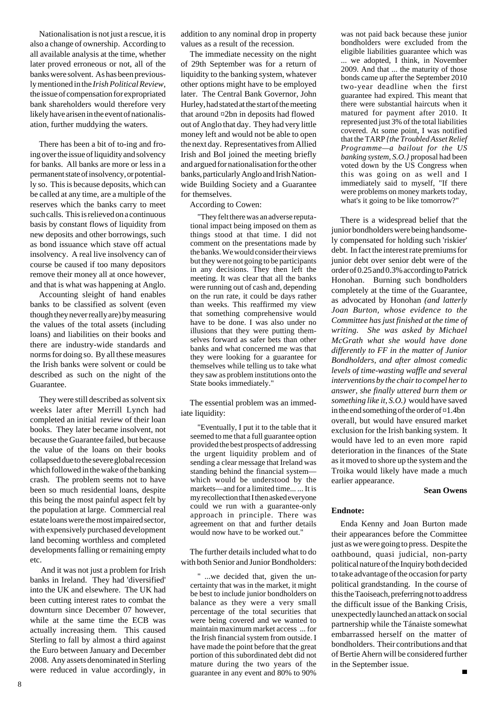Nationalisation is not just a rescue, it is also a change of ownership. According to all available analysis at the time, whether later proved erroneous or not, all of the banks were solvent. As has been previous ly mentioned in the *Irish Political Review*, the issue of compensation for expropriated bank shareholders would therefore very likely have arisen in the event of nationalis ation, further muddying the waters.

 There has been a bit of to-ing and fro ing over the issue of liquidity and solvency for banks. All banks are more or less in a permanent state of insolvency, or potential ly so. This is because deposits, which can be called at any time, are a multiple of the reserves which the banks carry to meet such calls. This is relieved on a continuous basis by constant flows of liquidity from new deposits and other borrowings, such as bond issuance which stave off actual insolvency. A real live insolvency can of course be caused if too many depositors remove their money all at once however, and that is what was happening at Anglo.

 Accounting sleight of hand enables banks to be classified as solvent (even though they never really are) by measuring the values of the total assets (including loans) and liabilities on their books and there are industry-wide standards and norms for doing so. By all these measures the Irish banks were solvent or could be described as such on the night of the Guarantee.

 They were still described as solvent six weeks later after Merrill Lynch had completed an initial review of their loan books. They later became insolvent, not because the Guarantee failed, but because the value of the loans on their books collapsed due to the severe global recession which followed in the wake of the banking crash. The problem seems not to have been so much residential loans, despite this being the most painful aspect felt by the population at large. Commercial real estate loans were the most impaired sector, with expensively purchased development land becoming worthless and completed developments falling or remaining empty etc.

And it was not just a problem for Irish banks in Ireland. They had 'diversified' into the UK and elsewhere. The UK had been cutting interest rates to combat the downturn since December 07 however, while at the same time the ECB was actually increasing them. This caused Sterling to fall by almost a third against the Euro between January and December 2008. Any assets denominated in Sterling were reduced in value accordingly, in

addition to any nominal drop in property values as a result of the recession.

 The immediate necessity on the night of 29th September was for a return of liquidity to the banking system, whatever other options might have to be employed later. The Central Bank Governor, John Hurley, had stated at the start of the meeting that around ¤2bn in deposits had flowed out of Anglo that day. They had very little money left and would not be able to open the next day. Representatives from Allied Irish and BoI joined the meeting briefly and argued for nationalisation for the other banks, particularly Anglo and Irish Nation wide Building Society and a Guarantee for themselves.

According to Cowen:

 "They felt there was an adverse reputa tional impact being imposed on them as things stood at that time. I did not comment on the presentations made by the banks. We would consider their views but they were not going to be participants in any decisions. They then left the meeting. It was clear that all the banks were running out of cash and, depending on the run rate, it could be days rather than weeks. This reaffirmed my view that something comprehensive would have to be done. I was also under no illusions that they were putting them selves forward as safer bets than other banks and what concerned me was that they were looking for a guarantee for themselves while telling us to take what they saw as problem institutions onto the State books immediately."

 The essential problem was an immed iate liquidity:

 "Eventually, I put it to the table that it seemed to me that a full guarantee option provided the best prospects of addressing the urgent liquidity problem and of sending a clear message that Ireland was standing behind the financial system which would be understood by the markets—and for a limited time... ... It is my recollection that I then asked everyone could we run with a guarantee-only approach in principle. There was agreement on that and further details would now have to be worked out."

 The further details included what to do with both Senior and Junior Bondholders:

 " ...we decided that, given the un certainty that was in the market, it might be best to include junior bondholders on balance as they were a very small percentage of the total securities that were being covered and we wanted to maintain maximum market access ... for the Irish financial system from outside. I have made the point before that the great portion of this subordinated debt did not mature during the two years of the guarantee in any event and 80% to 90%

was not paid back because these junior bondholders were excluded from the eligible liabilities guarantee which was ... we adopted, I think, in November 2009. And that ... the maturity of those bonds came up after the September 2010 two-year deadline when the first guarantee had expired. This meant that there were substantial haircuts when it matured for payment after 2010. It represented just 3% of the total liabilities covered. At some point, I was notified that the TARP *{the Troubled Asset Relief Programme—a bailout for the US banking system, S.O.}* proposal had been voted down by the US Congress when this was going on as well and I immediately said to myself, "If there were problems on money markets today, what's it going to be like tomorrow?"

 There is a widespread belief that the junior bondholders were being handsome ly compensated for holding such 'riskier' debt. In fact the interest rate premiums for junior debt over senior debt were of the order of 0.25 and 0.3% according to Patrick Honohan. Burning such bondholders completely at the time of the Guarantee, as advocated by Honohan *(and latterly Joan Burton, whose evidence to the Committee has just finished at the time of writing. She was asked by Michael McGrath what she would have done differently to FF in the matter of Junior Bondholders, and after almost comedic levels of time-wasting waffle and several interventions by the chair to compel her to answer, she finally uttered burn them or something like it, S.O.)* would have saved in the end something of the order of ¤1.4bn overall, but would have ensured market exclusion for the Irish banking system. It would have led to an even more rapid deterioration in the finances of the State as it moved to shore up the system and the Troika would likely have made a much earlier appearance.

 **Sean Owens**

## **Endnote:**

 Enda Kenny and Joan Burton made their appearances before the Committee just as we were going to press. Despite the oathbound, quasi judicial, non-party political nature of the Inquiry both decided to take advantage of the occasion for party political grandstanding. In the course of this the Taoiseach, preferring not to address the difficult issue of the Banking Crisis, unexpectedly launched an attack on social partnership while the Tánaiste somewhat embarrassed herself on the matter of bondholders. Their contributions and that of Bertie Ahern will be considered further in the September issue.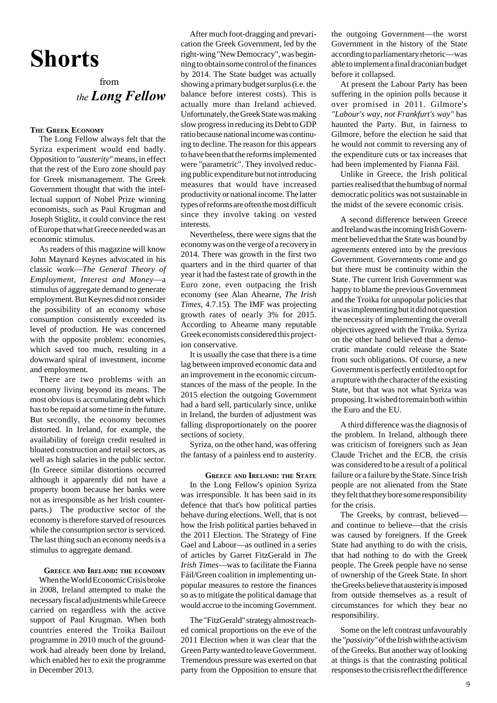## <span id="page-8-0"></span>**Shorts**

## from  *the Long Fellow*

#### **THE GREEK ECONOMY**

The Long Fellow always felt that the Syriza experiment would end badly. Opposition to *"austerity"* means, in effect that the rest of the Euro zone should pay for Greek mismanagement. The Greek Government thought that with the intellectual support of Nobel Prize winning economists, such as Paul Krugman and Joseph Stiglitz, it could convince the rest of Europe that what Greece needed was an economic stimulus.

As readers of this magazine will know John Maynard Keynes advocated in his classic work—*The General Theory of Employment, Interest and Money*—a stimulus of aggregate demand to generate employment. But Keynes did not consider the possibility of an economy whose consumption consistently exceeded its level of production. He was concerned with the opposite problem: economies, which saved too much, resulting in a downward spiral of investment, income and employment.

There are two problems with an economy living beyond its means. The most obvious is accumulating debt which has to be repaid at some time in the future. But secondly, the economy becomes distorted. In Ireland, for example, the availability of foreign credit resulted in bloated construction and retail sectors, as well as high salaries in the public sector. (In Greece similar distortions occurred although it apparently did not have a property boom because her banks were not as irresponsible as her Irish counterparts.) The productive sector of the economy is therefore starved of resources while the consumption sector is serviced. The last thing such an economy needs is a stimulus to aggregate demand.

**GREECE AND IRELAND: THE ECONOMY** When the World Economic Crisis broke in 2008, Ireland attempted to make the necessary fiscal adjustments while Greece carried on regardless with the active support of Paul Krugman. When both countries entered the Troika Bailout programme in 2010 much of the groundwork had already been done by Ireland, which enabled her to exit the programme in December 2013.

After much foot-dragging and prevarication the Greek Government, led by the right-wing "New Democracy", was beginning to obtain some control of the finances by 2014. The State budget was actually showing a primary budget surplus (i.e. the balance before interest costs). This is actually more than Ireland achieved. Unfortunately, the Greek State was making slow progress in reducing its Debt to GDP ratio because national income was continuing to decline. The reason for this appears to have been that the reforms implemented were "parametric". They involved reducing public expenditure but not introducing measures that would have increased productivity or national income. The latter types of reforms are often the most difficult since they involve taking on vested interests.

Nevertheless, there were signs that the economy was on the verge of a recovery in 2014. There was growth in the first two quarters and in the third quarter of that year it had the fastest rate of growth in the Euro zone, even outpacing the Irish economy (see Alan Ahearne, *The Irish Times*, 4.7.15). The IMF was projecting growth rates of nearly 3% for 2015. According to Ahearne many reputable Greek economists considered this projection conservative.

It is usually the case that there is a time lag between improved economic data and an improvement in the economic circumstances of the mass of the people. In the 2015 election the outgoing Government had a hard sell, particularly since, unlike in Ireland, the burden of adjustment was falling disproportionately on the poorer sections of society.

Syriza, on the other hand, was offering the fantasy of a painless end to austerity.

#### **GREECE AND IRELAND: THE STATE**

In the Long Fellow's opinion Syriza was irresponsible. It has been said in its defence that that's how political parties behave during elections. Well, that is not how the Irish political parties behaved in the 2011 Election. The Strategy of Fine Gael and Labour—as outlined in a series of articles by Garret FitzGerald in *The Irish Times*—was to facilitate the Fianna Fáil/Green coalition in implementing unpopular measures to restore the finances so as to mitigate the political damage that would accrue to the incoming Government.

The "FitzGerald" strategy almost reached comical proportions on the eve of the 2011 Election when it was clear that the Green Party wanted to leave Government. Tremendous pressure was exerted on that party from the Opposition to ensure that the outgoing Government—the worst Government in the history of the State according to parliamentary rhetoric—was able to implement a final draconian budget before it collapsed.

At present the Labour Party has been suffering in the opinion polls because it over promised in 2011. Gilmore's *"Labour's way, not Frankfurt's way"* has haunted the Party. But, in fairness to Gilmore, before the election he said that he would not commit to reversing any of the expenditure cuts or tax increases that had been implemented by Fianna Fáil.

Unlike in Greece, the Irish political parties realised that the humbug of normal democratic politics was not sustainable in the midst of the severe economic crisis.

A second difference between Greece and Ireland was the incoming Irish Government believed that the State was bound by agreements entered into by the previous Government. Governments come and go but there must be continuity within the State. The current Irish Government was happy to blame the previous Government and the Troika for unpopular policies that it was implementing but it did not question the necessity of implementing the overall objectives agreed with the Troika. Syriza on the other hand believed that a democratic mandate could release the State from such obligations. Of course, a new Government is perfectly entitled to opt for a rupture with the character of the existing State, but that was not what Syriza was proposing. It wished to remain both within the Euro and the EU.

A third difference was the diagnosis of the problem. In Ireland, although there was criticism of foreigners such as Jean Claude Trichet and the ECB, the crisis was considered to be a result of a political failure or a failure by the State. Since Irish people are not alienated from the State they felt that they bore some responsibility for the crisis.

The Greeks, by contrast, believed and continue to believe—that the crisis was caused by foreigners. If the Greek State had anything to do with the crisis, that had nothing to do with the Greek people. The Greek people have no sense of ownership of the Greek State. In short the Greeks believe that austerity is imposed from outside themselves as a result of circumstances for which they bear no responsibility.

Some on the left contrast unfavourably the*"passivity"*of the Irish with the activism of the Greeks. But another way of looking at things is that the contrasting political responses to the crisis reflect the difference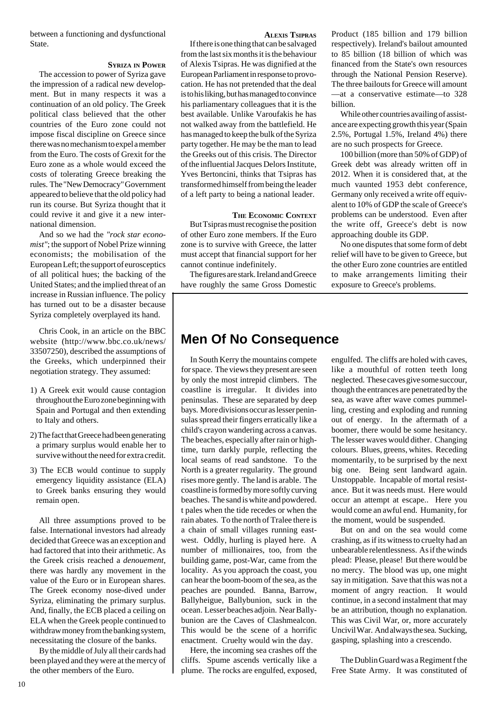<span id="page-9-0"></span>between a functioning and dysfunctional State.

## **SYRIZA IN POWER**

 The accession to power of Syriza gave the impression of a radical new develop ment. But in many respects it was a continuation of an old policy. The Greek political class believed that the other countries of the Euro zone could not impose fiscal discipline on Greece since there was no mechanism to expel a member from the Euro. The costs of Grexit for the Euro zone as a whole would exceed the costs of tolerating Greece breaking the rules. The "New Democracy" Government appeared to believe that the old policy had run its course. But Syriza thought that it could revive it and give it a new inter national dimension.

 And so we had the *"rock star econo mist"*; the support of Nobel Prize winning economists; the mobilisation of the European Left; the support of eurosceptics of all political hues; the backing of the United States; and the implied threat of an increase in Russian influence. The policy has turned out to be a disaster because Syriza completely overplayed its hand.

 Chris Cook, in an article on the BBC website (http://www.bbc.co.uk/news/ 33507250), described the assumptions of the Greeks, which underpinned their negotiation strategy. They assumed:

- 1) A Greek exit would cause contagion throughout the Euro zone beginning with Spain and Portugal and then extending to Italy and others.
- 2) The fact that Greece had been generating a primary surplus would enable her to survive without the need for extra credit.
- 3) The ECB would continue to supply emergency liquidity assistance (ELA) to Greek banks ensuring they would remain open.

 All three assumptions proved to be false. International investors had already decided that Greece was an exception and had factored that into their arithmetic. As the Greek crisis reached a *denouement*, there was hardly any movement in the value of the Euro or in European shares. The Greek economy nose-dived under Syriza, eliminating the primary surplus. And, finally, the ECB placed a ceiling on ELA when the Greek people continued to withdraw money from the banking system, necessitating the closure of the banks.

 By the middle of July all their cards had been played and they were at the mercy of the other members of the Euro.

## **ALEXIS TSIPRAS**

 If there is one thing that can be salvaged from the last six months it is the behaviour of Alexis Tsipras. He was dignified at the European Parliament in response to provo cation. He has not pretended that the deal is to his liking, but has managed to convince his parliamentary colleagues that it is the best available. Unlike Varoufakis he has not walked away from the battlefield. He has managed to keep the bulk of the Syriza party together. He may be the man to lead the Greeks out of this crisis. The Director of the influential Jacques Delors Institute, Yves Bertoncini, thinks that Tsipras has transformed himself from being the leader of a left party to being a national leader.

 **THE ECONOMIC CONTEXT** But Tsipras must recognise the position of other Euro zone members. If the Euro zone is to survive with Greece, the latter must accept that financial support for her cannot continue indefinitely.

 The figures are stark. Ireland and Greece have roughly the same Gross Domestic

Product (185 billion and 179 billion respectively). Ireland's bailout amounted to 85 billion (18 billion of which was financed from the State's own resources through the National Pension Reserve). The three bailouts for Greece will amount —at a conservative estimate—to 328 billion.

 While other countries availing of assist ance are expecting growth this year (Spain 2.5%, Portugal 1.5%, Ireland 4%) there are no such prospects for Greece.

 100 billion (more than 50% of GDP) of Greek debt was already written off in 2012. When it is considered that, at the much vaunted 1953 debt conference, Germany only received a write off equiv alent to 10% of GDP the scale of Greece's problems can be understood. Even after the write off, Greece's debt is now approaching double its GDP.

 No one disputes that some form of debt relief will have to be given to Greece, but the other Euro zone countries are entitled to make arrangements limiting their exposure to Greece's problems.

## **Men Of No Consequence**

 In South Kerry the mountains compete for space. The views they present are seen by only the most intrepid climbers. The coastline is irregular. It divides into peninsulas. These are separated by deep bays. More divisions occur as lesser penin sulas spread their fingers erratically like a child's crayon wandering across a canvas. The beaches, especially after rain or high time, turn darkly purple, reflecting the local seams of read sandstone. To the North is a greater regularity. The ground rises more gently. The land is arable. The coastline is formed by more softly curving beaches. The sand is white and powdered. t pales when the tide recedes or when the rain abates. To the north of Tralee there is a chain of small villages running east west. Oddly, hurling is played here. A number of millionaires, too, from the building game, post-War, came from the locality. As you approach the coast, you can hear the boom-boom of the sea, as the peaches are pounded. Banna, Barrow, Ballyheigue, Ballybunion, suck in the ocean. Lesser beaches adjoin. Near Bally bunion are the Caves of Clashmealcon. This would be the scene of a horrific enactment. Cruelty would win the day.

 Here, the incoming sea crashes off the cliffs. Spume ascends vertically like a plume. The rocks are engulfed, exposed, engulfed. The cliffs are holed with caves, like a mouthful of rotten teeth long neglected. These caves give some succour, though the entrances are penetrated by the sea, as wave after wave comes pummel ling, cresting and exploding and running out of energy. In the aftermath of a boomer, there would be some hesitancy. The lesser waves would dither. Changing colours. Blues, greens, whites. Receding momentarily, to be surprised by the next big one. Being sent landward again. Unstoppable. Incapable of mortal resist ance. But it was needs must. Here would occur an attempt at escape.. Here you would come an awful end. Humanity, for the moment, would be suspended.

 But on and on the sea would come crashing, as if its witness to cruelty had an unbearable relentlessness. As if the winds plead: Please, please! But there would be no mercy. The blood was up, one might say in mitigation. Save that this was not a moment of angry reaction. It would continue, in a second instalment that may be an attribution, though no explanation. This was Civil War, or, more accurately Uncivil War. And always the sea. Sucking, gasping, splashing into a crescendo.

 The Dublin Guard was a Regiment f the Free State Army. It was constituted of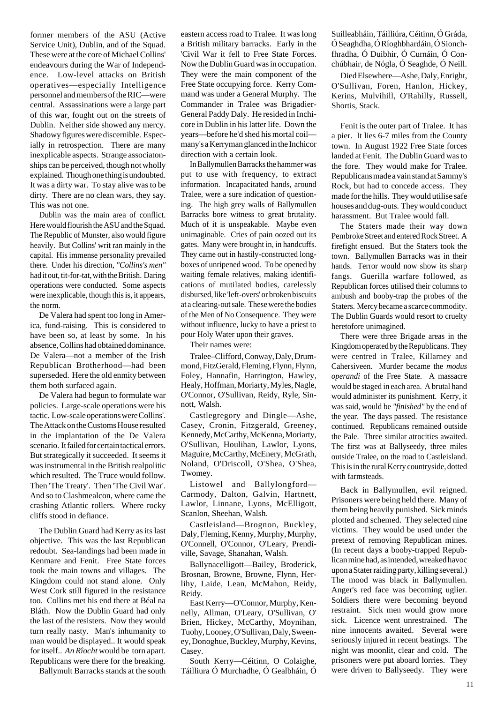former members of the ASU (Active Service Unit), Dublin, and of the Squad. These were at the core of Michael Collins' endeavours during the War of Independence. Low-level attacks on British operatives—especially Intelligence personnel and members of the RIC—were central. Assassinations were a large part of this war, fought out on the streets of Dublin. Neither side showed any mercy. Shadowy figures were discernible. Especially in retrospection. There are many inexplicable aspects. Strange associatonships can be perceived, though not wholly explained. Though one thing is undoubted. It was a dirty war. To stay alive was to be dirty. There are no clean wars, they say. This was not one.

Dublin was the main area of conflict. Here would flourish the ASU and the Squad. The Republic of Munster, also would figure heavily. But Collins' writ ran mainly in the capital. His immense personality prevailed there. Under his direction, *"Collins's men"* had it out, tit-for-tat, with the British. Daring operations were conducted. Some aspects were inexplicable, though this is, it appears, the norm.

De Valera had spent too long in America, fund-raising. This is considered to have been so, at least by some. In his absence, Collins had obtained dominance. De Valera—not a member of the Irish Republican Brotherhood—had been superseded. Here the old enmity between them both surfaced again.

De Valera had begun to formulate war policies. Large-scale operations were his tactic. Low-scale operations were Collins'. The Attack on the Customs House resulted in the implantation of the De Valera scenario. It failed for certain tactical errors. But strategically it succeeded. It seems it was instrumental in the British realpolitic which resulted. The Truce would follow. Then 'The Treaty'. Then 'The Civil War'. And so to Clashmealcon, where came the crashing Atlantic rollers. Where rocky cliffs stood in defiance.

The Dublin Guard had Kerry as its last objective. This was the last Republican redoubt. Sea-landings had been made in Kenmare and Fenit. Free State forces took the main towns and villages. The Kingdom could not stand alone. Only West Cork still figured in the resistance too. Collins met his end there at Béal na Bláth. Now the Dublin Guard had only the last of the resisters. Now they would turn really nasty. Man's inhumanity to man would be displayed.. It would speak for itself.. *An Rîocht* would be torn apart. Republicans were there for the breaking.

Ballymult Barracks stands at the south

eastern access road to Tralee. It was long a British military barracks. Early in the 'Civil War it fell to Free State Forces. Now the Dublin Guard was in occupation. They were the main component of the Free State occupying force. Kerry Command was under a General Murphy. The Commander in Tralee was Brigadier-General Paddy Daly. He resided in Inchicore in Dublin in his latter life. Down the years—before he'd shed his mortal coil many's a Kerryman glanced in the Inchicor direction with a certain look.

In Ballymullen Barracks the hammer was put to use with frequency, to extract information. Incapacitated hands, around Tralee, were a sure indication of questioning. The high grey walls of Ballymullen Barracks bore witness to great brutality. Much of it is unspeakable. Maybe even unimaginable. Cries of pain oozed out its gates. Many were brought in, in handcuffs. They came out in hastily-constructed longboxes of unripened wood. To be opened by waiting female relatives, making identifications of mutilated bodies, carelessly disbursed, like 'left-overs' or broken biscuits at a clearing-out sale. These were the bodies of the Men of No Consequence. They were without influence, lucky to have a priest to pour Holy Water upon their graves.

Their names were:

Tralee–Clifford, Conway, Daly, Drummond, FitzGerald, Fleming, Flynn, Flynn, Foley, Hannafin, Harrington, Hawley, Healy, Hoffman, Moriarty, Myles, Nagle, O'Connor, O'Sullivan, Reidy, Ryle, Sinnott, Walsh.

Castlegregory and Dingle—Ashe, Casey, Cronin, Fitzgerald, Greeney, Kennedy, McCarthy, McKenna, Moriarty, O'Sullivan, Houlihan, Lawlor, Lyons, Maguire, McCarthy, McEnery, McGrath, Noland, O'Driscoll, O'Shea, O'Shea, Twomey.

Listowel and Ballylongford— Carmody, Dalton, Galvin, Hartnett, Lawlor, Linnane, Lyons, McElligott, Scanlon, Sheehan, Walsh.

Castleisland—Brognon, Buckley, Daly, Fleming, Kenny, Murphy, Murphy, O'Connell, O'Connor, O'Leary, Prendiville, Savage, Shanahan, Walsh.

Ballynacelligott—Bailey, Broderick, Brosnan, Browne, Browne, Flynn, Herlihy, Laide, Lean, McMahon, Reidy, Reidy.

East Kerry—O'Connor, Murphy, Kennelly, Allman, O'Leary, O'Sullivan, O' Brien, Hickey, McCarthy, Moynihan, Tuohy, Looney, O'Sullivan, Daly, Sweeney, Donoghue, Buckley, Murphy, Kevins, Casey.

South Kerry—Céitinn, O Colaighe, Táilliura Ó Murchadhe, Ó Gealbháin, Ó Suilleabháin, Táilliúra, Céitinn, Ó Gráda, Ó Seaghdha, Ó Ríoghbhardáin, Ó Sionchfhradha, Ó Duibhir, Ó Curnáin, Ó Conchúbhair, de Nógla, Ó Seaghde, Ó Neill.

Died Elsewhere—Ashe, Daly, Enright, O'Sullivan, Foren, Hanlon, Hickey, Kerins, Mulvihill, O'Rahilly, Russell, Shortis, Stack.

Fenit is the outer part of Tralee. It has a pier. It lies 6-7 miles from the County town. In August 1922 Free State forces landed at Fenit. The Dublin Guard was to the fore. They would make for Tralee. Republicans made a vain stand at Sammy's Rock, but had to concede access. They made for the hills. They would utilise safe houses and dug-outs. They would conduct harassment. But Tralee would fall.

The Staters made their way down Pembroke Street and entered Rock Street. A firefight ensued. But the Staters took the town. Ballymullen Barracks was in their hands. Terror would now show its sharp fangs. Guerilla warfare followed, as Republican forces utilised their columns to ambush and booby-trap the probes of the Staters. Mercy became a scarce commodity. The Dublin Guards would resort to cruelty heretofore unimagined.

There were three Brigade areas in the Kingdom operated by the Republicans. They were centred in Tralee, Killarney and Cahersiveen. Murder became the *modus operandi* of the Free State. A massacre would be staged in each area. A brutal hand would administer its punishment. Kerry, it was said, would be *"finished"* by the end of the year. The days passed. The resistance continued. Republicans remained outside the Pale. Three similar atrocities awaited. The first was at Ballyseedy, three miles outside Tralee, on the road to Castleisland. This is in the rural Kerry countryside, dotted with farmsteads.

Back in Ballymullen, evil reigned. Prisoners were being held there. Many of them being heavily punished. Sick minds plotted and schemed. They selected nine victims. They would be used under the pretext of removing Republican mines. (In recent days a booby-trapped Republican mine had, as intended, wreaked havoc upon a Stater raiding party, killing several.) The mood was black in Ballymullen. Anger's red face was becoming uglier. Soldiers there were becoming beyond restraint. Sick men would grow more sick. Licence went unrestrained. The nine innocents awaited. Several were seriously injured in recent beatings. The night was moonlit, clear and cold. The prisoners were put aboard lorries. They were driven to Ballyseedy. They were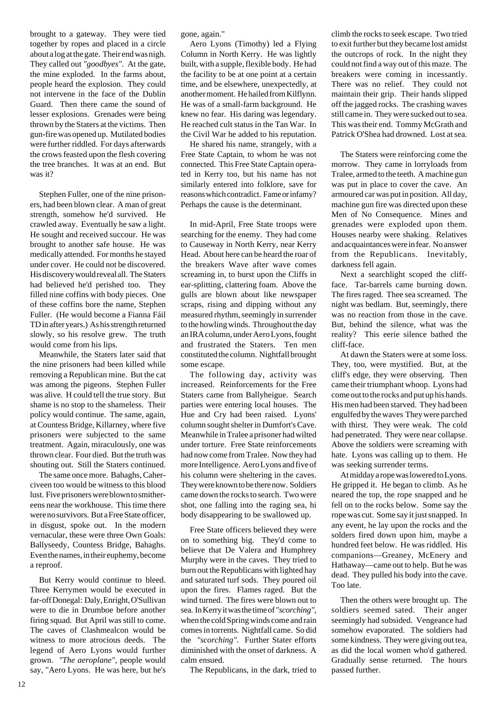brought to a gateway. They were tied together by ropes and placed in a circle about a log at the gate. Their end was nigh. They called out *"goodbyes"*. At the gate, the mine exploded. In the farms about, people heard the explosion. They could not intervene in the face of the Dublin Guard. Then there came the sound of lesser explosions. Grenades were being thrown by the Staters at the victims. Then gun-fire was opened up. Mutilated bodies were further riddled. For days afterwards the crows feasted upon the flesh covering the tree branches. It was at an end. But was it?

 Stephen Fuller, one of the nine prison ers, had been blown clear. A man of great strength, somehow he'd survived. He crawled away. Eventually he saw a light. He sought and received succour. He was brought to another safe house. He was medically attended. For months he stayed under cover. He could not be discovered. His discovery would reveal all. The Staters had believed he'd perished too. They filled nine coffins with body pieces. One of these coffins bore the name, Stephen Fuller. (He would become a Fianna Fáil TD in after years.) As his strength returned slowly, so his resolve grew. The truth would come from his lips.

 Meanwhile, the Staters later said that the nine prisoners had been killed while removing a Republican mine. But the cat was among the pigeons. Stephen Fuller was alive. H could tell the true story. But shame is no stop to the shameless. Their policy would continue. The same, again, at Countess Bridge, Killarney, where five prisoners were subjected to the same treatment. Again, miraculously, one was thrown clear. Four died. But the truth was shouting out. Still the Staters continued.

 The same once more. Bahaghs, Caher civeen too would be witness to this blood lust. Five prisoners were blown to smither eens near the workhouse. This time there were no survivors. But a Free State officer, in disgust, spoke out. In the modern vernacular, these were three Own Goals: Ballyseedy, Countess Bridge, Bahaghs. Even the names, in their euphemy, become a reproof.

 But Kerry would continue to bleed. Three Kerrymen would be executed in far-off Donegal: Daly, Enright, O'Sullivan were to die in Drumboe before another firing squad. But April was still to come. The caves of Clashmealcon would be witness to more atrocious deeds. The legend of Aero Lyons would further grown. *"The aeroplane"*, people would say, "Aero Lyons. He was here, but he's

gone, again."

 Aero Lyons (Timothy) led a Flying Column in North Kerry. He was lightly built, with a supple, flexible body. He had the facility to be at one point at a certain time, and be elsewhere, unexpectedly, at another moment. He hailed from Kilflynn. He was of a small-farm background. He knew no fear. His daring was legendary. He reached cult status in the Tan War. In the Civil War he added to his reputation.

 He shared his name, strangely, with a Free State Captain, to whom he was not connected. This Free State Captain opera ted in Kerry too, but his name has not similarly entered into folklore, save for reasons which contradict. Fame or infamy? Perhaps the cause is the determinant.

 In mid-April, Free State troops were searching for the enemy. They had come to Causeway in North Kerry, near Kerry Head. About here can be heard the roar of the breakers Wave after wave comes screaming in, to burst upon the Cliffs in ear-splitting, clattering foam. Above the gulls are blown about like newspaper scraps, rising and dipping without any measured rhythm, seemingly in surrender to the howling winds. Throughout the day an IRA column, under Aero Lyons, fought and frustrated the Staters. Ten men constituted the column. Nightfall brought some escape.

 The following day, activity was increased. Reinforcements for the Free Staters came from Ballyheigue. Search parties were entering local houses. The Hue and Cry had been raised. Lyons' column sought shelter in Dumfort's Cave. Meanwhile in Tralee a prisoner had wilted under torture. Free State reinforcements had now come from Tralee. Now they had more Intelligence. Aero Lyons and five of his column were sheltering in the caves. They were known to be there now. Soldiers came down the rocks to search. Two were shot, one falling into the raging sea, hi body disappearing to be swallowed up.

 Free State officers believed they were on to something big. They'd come to believe that De Valera and Humphrey Murphy were in the caves. They tried to burn out the Republicans with lighted hay and saturated turf sods. They poured oil upon the fires. Flames raged. But the wind turned. The fires were blown out to sea. In Kerry it was the time of*"scorching"*, when the cold Spring winds come and rain comes in torrents. Nightfall came. So did the *"scorching"*. Further Stater efforts diminished with the onset of darkness. A calm ensued.

The Republicans, in the dark, tried to

climb the rocks to seek escape. Two tried to exit further but they became lost amidst the outcrops of rock. In the night they could not find a way out of this maze. The breakers were coming in incessantly. There was no relief. They could not maintain their grip. Their hands slipped off the jagged rocks. The crashing waves still came in. They were sucked out to sea. This was their end. Tommy McGrath and Patrick O'Shea had drowned. Lost at sea.

 The Staters were reinforcing come the morrow. They came in lorryloads from Tralee, armed to the teeth. A machine gun was put in place to cover the cave. An armoured car was put in position. All day, machine gun fire was directed upon these Men of No Consequence. Mines and grenades were exploded upon them. Houses nearby were shaking. Relatives and acquaintances were in fear. No answer from the Republicans. Inevitably, darkness fell again.

 Next a searchlight scoped the cliff face. Tar-barrels came burning down. The fires raged. Thee sea screamed. The night was bedlam. But, seemingly, there was no reaction from those in the cave. But, behind the silence, what was the reality? This eerie silence bathed the cliff-face.

 At dawn the Staters were at some loss. They, too, were mystified. But, at the cliff's edge, they were observing. Then came their triumphant whoop. Lyons had come out to the rocks and put up his hands. His men had been starved. They had been engulfed by the waves They were parched with thirst. They were weak. The cold had penetrated. They were near collapse. Above the soldiers were screaming with hate. Lyons was calling up to them. He was seeking surrender terms.

 At midday a rope was lowered to Lyons. He gripped it. He began to climb. As he neared the top, the rope snapped and he fell on to the rocks below. Some say the rope was cut. Some say it just snapped. In any event, he lay upon the rocks and the solders fired down upon him, maybe a hundred feet below. He was riddled. His companions—Greaney, McEnery and Hathaway—came out to help. But he was dead. They pulled his body into the cave. Too late.

 Then the others were brought up. The soldiers seemed sated. Their anger seemingly had subsided. Vengeance had somehow evaporated. The soldiers had some kindness. They were giving out tea, as did the local women who'd gathered. Gradually sense returned. The hours passed further.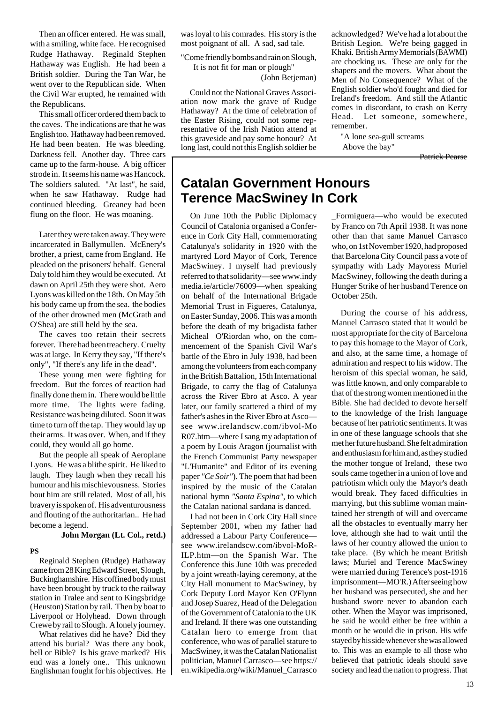<span id="page-12-0"></span>Then an officer entered. He was small, with a smiling, white face. He recognised Rudge Hathaway. Reginald Stephen Hathaway was English. He had been a British soldier. During the Tan War, he went over to the Republican side. When the Civil War erupted, he remained with the Republicans.

This small officer ordered them back to the caves. The indications are that he was English too. Hathaway had been removed. He had been beaten. He was bleeding. Darkness fell. Another day. Three cars came up to the farm-house. A big officer strode in. It seems his name was Hancock. The soldiers saluted. "At last", he said, when he saw Hathaway. Rudge had continued bleeding. Greaney had been flung on the floor. He was moaning.

Later they were taken away. They were incarcerated in Ballymullen. McEnery's brother, a priest, came from England. He pleaded on the prisoners' behalf. General Daly told him they would be executed. At dawn on April 25th they were shot. Aero Lyons was killed on the 18th. On May 5th his body came up from the sea. the bodies of the other drowned men (McGrath and O'Shea) are still held by the sea.

The caves too retain their secrets forever. There had been treachery. Cruelty was at large. In Kerry they say, "If there's only", "If there's any life in the dead".

These young men were fighting for freedom. But the forces of reaction had finally done them in. There would be little more time. The lights were fading. Resistance was being diluted. Soon it was time to turn off the tap. They would lay up their arms. It was over. When, and if they could, they would all go home.

But the people all speak of Aeroplane Lyons. He was a blithe spirit. He liked to laugh. They laugh when they recall his humour and his mischievousness. Stories bout him are still related. Most of all, his bravery is spoken of. His adventurousness and flouting of the authoritarian.. He had become a legend.

**John Morgan (Lt. Col., retd.)**

#### **PS**

Reginald Stephen (Rudge) Hathaway came from 28 King Edward Street, Slough, Buckinghamshire. His coffined body must have been brought by truck to the railway station in Tralee and sent to Kingsbridge (Heuston) Station by rail. Then by boat to Liverpool or Holyhead. Down through Crewe by rail to Slough. A lonely journey.

What relatives did he have? Did they attend his burial? Was there any book, bell or Bible? Is his grave marked? His end was a lonely one.. This unknown Englishman fought for his objectives. He was loyal to his comrades. His story is the most poignant of all. A sad, sad tale.

"Come friendly bombs and rain on Slough, It is not fit for man or plough"

(John Betjeman)

Could not the National Graves Association now mark the grave of Rudge Hathaway? At the time of celebration of the Easter Rising, could not some representative of the Irish Nation attend at this graveside and pay some honour? At long last, could not this English soldier be acknowledged? We've had a lot about the British Legion. We're being gagged in Khaki. British Army Memorials (BAWMI) are chocking us. These are only for the shapers and the movers. What about the Men of No Consequence? What of the English soldier who'd fought and died for Ireland's freedom. And still the Atlantic comes in discordant, to crash on Kerry Head. Let someone, somewhere, remember.

"A lone sea-gull screams Above the bay"

Patrick Pearse

## **Catalan Government Honours Terence MacSwiney In Cork**

On June 10th the Public Diplomacy Council of Catalonia organised a Conference in Cork City Hall, commemorating Catalunya's solidarity in 1920 with the martyred Lord Mayor of Cork, Terence MacSwiney. I myself had previously referred to that solidarity—see www.indy media.ie/article/76009—when speaking on behalf of the International Brigade Memorial Trust in Figueres, Catalunya, on Easter Sunday, 2006. This was a month before the death of my brigadista father Micheal O'Riordan who, on the commencement of the Spanish Civil War's battle of the Ebro in July 1938, had been among the volunteers from each company in the British Battalion, 15th International Brigade, to carry the flag of Catalunya across the River Ebro at Asco. A year later, our family scattered a third of my father's ashes in the River Ebro at Asco see www.irelandscw.com/ibvol-Mo R07.htm—where I sang my adaptation of a poem by Louis Aragon (journalist with the French Communist Party newspaper "L'Humanite" and Editor of its evening paper *"Ce Soir"*). The poem that had been inspired by the music of the Catalan national hymn *"Santa Espina"*, to which the Catalan national sardana is danced.

I had not been in Cork City Hall since September 2001, when my father had addressed a Labour Party Conference see www.irelandscw.com/ibvol-MoR-ILP.htm—on the Spanish War. The Conference this June 10th was preceded by a joint wreath-laying ceremony, at the City Hall monument to MacSwiney, by Cork Deputy Lord Mayor Ken O'Flynn and Josep Suarez, Head of the Delegation of the Government of Catalonia to the UK and Ireland. If there was one outstanding Catalan hero to emerge from that conference, who was of parallel stature to MacSwiney, it was the Catalan Nationalist politician, Manuel Carrasco—see https:// en.wikipedia.org/wiki/Manuel\_Carrasco

\_Formiguera—who would be executed by Franco on 7th April 1938. It was none other than that same Manuel Carrasco who, on 1st November 1920, had proposed that Barcelona City Council pass a vote of sympathy with Lady Mayoress Muriel MacSwiney, following the death during a Hunger Strike of her husband Terence on October 25th.

During the course of his address, Manuel Carrasco stated that it would be most appropriate for the city of Barcelona to pay this homage to the Mayor of Cork, and also, at the same time, a homage of admiration and respect to his widow. The heroism of this special woman, he said, was little known, and only comparable to that of the strong women mentioned in the Bible. She had decided to devote herself to the knowledge of the Irish language because of her patriotic sentiments. It was in one of these language schools that she met her future husband. She felt admiration and enthusiasm for him and, as they studied the mother tongue of Ireland, these two souls came together in a union of love and patriotism which only the Mayor's death would break. They faced difficulties in marrying, but this sublime woman maintained her strength of will and overcame all the obstacles to eventually marry her love, although she had to wait until the laws of her country allowed the union to take place. (By which he meant British laws; Muriel and Terence MacSwiney were married during Terence's post-1916 imprisonment—MO'R.) After seeing how her husband was persecuted, she and her husband swore never to abandon each other. When the Mayor was imprisoned, he said he would either be free within a month or he would die in prison. His wife stayed by his side whenever she was allowed to. This was an example to all those who believed that patriotic ideals should save society and lead the nation to progress. That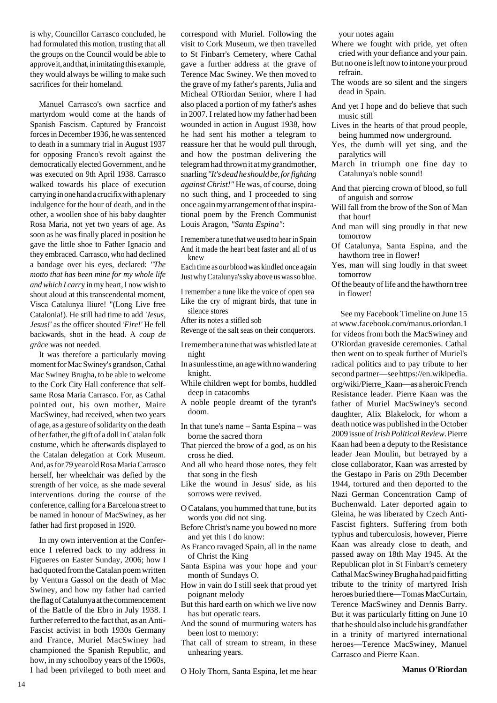is why, Councillor Carrasco concluded, he had formulated this motion, trusting that all the groups on the Council would be able to approve it, and that, in imitating this example, they would always be willing to make such sacrifices for their homeland.

 Manuel Carrasco's own sacrfice and martyrdom would come at the hands of Spanish Fascism. Captured by Francoist forces in December 1936, he was sentenced to death in a summary trial in August 1937 for opposing Franco's revolt against the democratically elected Government, and he was executed on 9th April 1938. Carrasco walked towards his place of execution carrying in one hand a crucifix with a plenary indulgence for the hour of death, and in the other, a woollen shoe of his baby daughter Rosa Maria, not yet two years of age. As soon as he was finally placed in position he gave the little shoe to Father Ignacio and they embraced. Carrasco, who had declined a bandage over his eyes, declared: *"The motto that has been mine for my whole life and which I carr*y in my heart, I now wish to shout aloud at this transcendental moment, Visca Catalunya lliure! "(Long Live free Catalonia!). He still had time to add *'Jesus, Jesus!'* as the officer shouted *'Fire!'* He fell backwards, shot in the head. A *coup de grâce* was not needed.

 It was therefore a particularly moving moment for Mac Swiney's grandson, Cathal Mac Swiney Brugha, to be able to welcome to the Cork City Hall conference that self same Rosa Maria Carrasco. For, as Cathal pointed out, his own mother, Maire MacSwiney, had received, when two years of age, as a gesture of solidarity on the death of her father, the gift of a doll in Catalan folk costume, which he afterwards displayed to the Catalan delegation at Cork Museum. And, as for 79 year old Rosa Maria Carrasco herself, her wheelchair was defied by the strength of her voice, as she made several interventions during the course of the conference, calling for a Barcelona street to be named in honour of MacSwiney, as her father had first proposed in 1920.

 In my own intervention at the Confer ence I referred back to my address in Figueres on Easter Sunday, 2006; how I had quoted from the Catalan poem written by Ventura Gassol on the death of Mac Swiney, and how my father had carried the flag of Catalunya at the commencement of the Battle of the Ebro in July 1938. I further referred to the fact that, as an Anti- Fascist activist in both 1930s Germany and France, Muriel MacSwiney had championed the Spanish Republic, and how, in my schoolboy years of the 1960s, I had been privileged to both meet and correspond with Muriel. Following the visit to Cork Museum, we then travelled to St Finbarr's Cemetery, where Cathal gave a further address at the grave of Terence Mac Swiney. We then moved to the grave of my father's parents, Julia and Micheal O'Riordan Senior, where I had also placed a portion of my father's ashes in 2007. I related how my father had been wounded in action in August 1938, how he had sent his mother a telegram to reassure her that he would pull through, and how the postman delivering the telegram had thrown it at my grandmother, snarling*"It's dead he should be, for fighting against Christ!"* He was, of course, doing no such thing, and I proceeded to sing once again my arrangement of that inspira tional poem by the French Communist Louis Aragon, *"Santa Espina"*:

 I remember a tune that we used to hear in Spain And it made the heart beat faster and all of us knew

 Each time as our blood was kindled once again Just why Catalunya's sky above us was so blue.

 I remember a tune like the voice of open sea Like the cry of migrant birds, that tune in silence stores

After its notes a stifled sob

- Revenge of the salt seas on their conquerors.
- I remember a tune that was whistled late at night
- In a sunless time, an age with no wandering knight.
- While children wept for bombs, huddled deep in catacombs
- A noble people dreamt of the tyrant's doom.
- In that tune's name Santa Espina was borne the sacred thorn
- That pierced the brow of a god, as on his cross he died.
- And all who heard those notes, they felt that song in the flesh
- Like the wound in Jesus' side, as his sorrows were revived.
- O Catalans, you hummed that tune, but its words you did not sing.
- Before Christ's name you bowed no more and yet this I do know:
- As Franco ravaged Spain, all in the name of Christ the King
- Santa Espina was your hope and your month of Sundays O.
- How in vain do I still seek that proud yet poignant melody
- But this hard earth on which we live now has but operatic tears.
- And the sound of murmuring waters has been lost to memory:
- That call of stream to stream, in these unhearing years.
- O Holy Thorn, Santa Espina, let me hear

your notes again

- Where we fought with pride, yet often cried with your defiance and your pain.
- But no one is left now to intone your proud refrain.
- The woods are so silent and the singers dead in Spain.
- And yet I hope and do believe that such music still
- Lives in the hearts of that proud people, being hummed now underground.
- Yes, the dumb will yet sing, and the paralytics will
- March in triumph one fine day to Catalunya's noble sound!
- And that piercing crown of blood, so full of anguish and sorrow
- Will fall from the brow of the Son of Man that hour!
- And man will sing proudly in that new tomorrow
- Of Catalunya, Santa Espina, and the hawthorn tree in flower!
- Yes, man will sing loudly in that sweet tomorrow
- Of the beauty of life and the hawthorn tree in flower!

 See my Facebook Timeline on June 15 at www.facebook.com/manus.oriordan.1 for videos from both the MacSwiney and O'Riordan graveside ceremonies. Cathal then went on to speak further of Muriel's radical politics and to pay tribute to her second partner—see https://en.wikipedia. org/wiki/Pierre\_Kaan—as a heroic French Resistance leader. Pierre Kaan was the father of Muriel MacSwiney's second daughter, Alix Blakelock, for whom a death notice was published in the October 2009 issue of*Irish Political Review*. Pierre Kaan had been a deputy to the Resistance leader Jean Moulin, but betrayed by a close collaborator, Kaan was arrested by the Gestapo in Paris on 29th December 1944, tortured and then deported to the Nazi German Concentration Camp of Buchenwald. Later deported again to Gleina, he was liberated by Czech Anti- Fascist fighters. Suffering from both typhus and tuberculosis, however, Pierre Kaan was already close to death, and passed away on 18th May 1945. At the Republican plot in St Finbarr's cemetery Cathal MacSwiney Brugha had paid fitting tribute to the trinity of martyred Irish heroes buried there—Tomas MacCurtain, Terence MacSwiney and Dennis Barry. But it was particularly fitting on June 10 that he should also include his grandfather in a trinity of martyred international heroes—Terence MacSwiney, Manuel Carrasco and Pierre Kaan.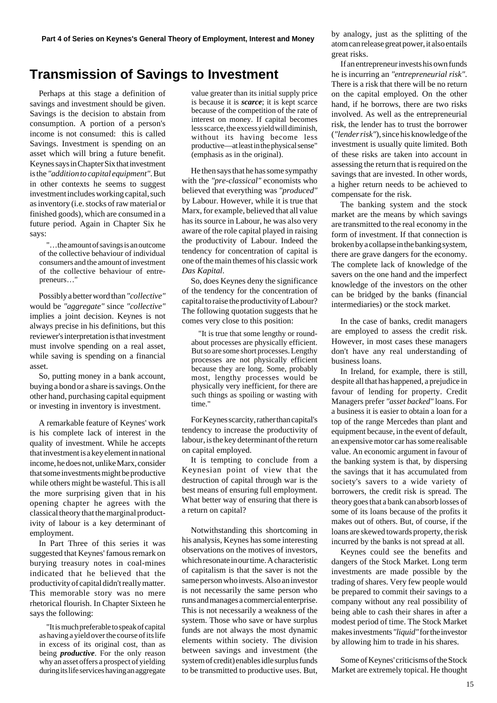## <span id="page-14-0"></span>**Transmission of Savings to Investment**

Perhaps at this stage a definition of savings and investment should be given. Savings is the decision to abstain from consumption. A portion of a person's income is not consumed: this is called Savings. Investment is spending on an asset which will bring a future benefit. Keynes says in Chapter Six that investment is the *"addition to capital equipment"*. But in other contexts he seems to suggest investment includes working capital, such as inventory (i.e. stocks of raw material or finished goods), which are consumed in a future period. Again in Chapter Six he says:

"…the amount of savings is an outcome of the collective behaviour of individual consumers and the amount of investment of the collective behaviour of entrepreneurs…"

Possibly a better word than*"collective"* would be *"aggregate"* since *"collective"* implies a joint decision. Keynes is not always precise in his definitions, but this reviewer's interpretation is that investment must involve spending on a real asset, while saving is spending on a financial asset.

So, putting money in a bank account, buying a bond or a share is savings. On the other hand, purchasing capital equipment or investing in inventory is investment.

A remarkable feature of Keynes' work is his complete lack of interest in the quality of investment. While he accepts that investment is a key element in national income, he does not, unlike Marx, consider that some investments might be productive while others might be wasteful. This is all the more surprising given that in his opening chapter he agrees with the classical theory that the marginal productivity of labour is a key determinant of employment.

In Part Three of this series it was suggested that Keynes' famous remark on burying treasury notes in coal-mines indicated that he believed that the productivity of capital didn't really matter. This memorable story was no mere rhetorical flourish. In Chapter Sixteen he says the following:

"It is much preferable to speak of capital as having a yield over the course of its life in excess of its original cost, than as being *productive*. For the only reason why an asset offers a prospect of yielding during its life services having an aggregate

value greater than its initial supply price is because it is *scarce*; it is kept scarce because of the competition of the rate of interest on money. If capital becomes less scarce, the excess yield will diminish, without its having become less productive—at least in the physical sense" (emphasis as in the original).

He then says that he has some sympathy with the *"pre-classical"* economists who believed that everything was *"produced"* by Labour. However, while it is true that Marx, for example, believed that all value has its source in Labour, he was also very aware of the role capital played in raising the productivity of Labour. Indeed the tendency for concentration of capital is one of the main themes of his classic work *Das Kapital*.

So, does Keynes deny the significance of the tendency for the concentration of capital to raise the productivity of Labour? The following quotation suggests that he comes very close to this position:

"It is true that some lengthy or roundabout processes are physically efficient. But so are some short processes. Lengthy processes are not physically efficient because they are long. Some, probably most, lengthy processes would be physically very inefficient, for there are such things as spoiling or wasting with time."

For Keynes scarcity, rather than capital's tendency to increase the productivity of labour, is the key determinant of the return on capital employed.

It is tempting to conclude from a Keynesian point of view that the destruction of capital through war is the best means of ensuring full employment. What better way of ensuring that there is a return on capital?

Notwithstanding this shortcoming in his analysis, Keynes has some interesting observations on the motives of investors, which resonate in our time. A characteristic of capitalism is that the saver is not the same person who invests. Also an investor is not necessarily the same person who runs and manages a commercial enterprise. This is not necessarily a weakness of the system. Those who save or have surplus funds are not always the most dynamic elements within society. The division between savings and investment (the system of credit) enables idle surplus funds to be transmitted to productive uses. But,

by analogy, just as the splitting of the atom can release great power, it also entails great risks.

If an entrepreneur invests his own funds he is incurring an *"entrepreneurial risk"*. There is a risk that there will be no return on the capital employed. On the other hand, if he borrows, there are two risks involved. As well as the entrepreneurial risk, the lender has to trust the borrower (*"lender risk"*), since his knowledge of the investment is usually quite limited. Both of these risks are taken into account in assessing the return that is required on the savings that are invested. In other words, a higher return needs to be achieved to compensate for the risk.

The banking system and the stock market are the means by which savings are transmitted to the real economy in the form of investment. If that connection is broken by a collapse in the banking system, there are grave dangers for the economy. The complete lack of knowledge of the savers on the one hand and the imperfect knowledge of the investors on the other can be bridged by the banks (financial intermediaries) or the stock market.

In the case of banks, credit managers are employed to assess the credit risk. However, in most cases these managers don't have any real understanding of business loans.

In Ireland, for example, there is still, despite all that has happened, a prejudice in favour of lending for property. Credit Managers prefer *"asset backed"* loans. For a business it is easier to obtain a loan for a top of the range Mercedes than plant and equipment because, in the event of default, an expensive motor car has some realisable value. An economic argument in favour of the banking system is that, by dispersing the savings that it has accumulated from society's savers to a wide variety of borrowers, the credit risk is spread. The theory goes that a bank can absorb losses of some of its loans because of the profits it makes out of others. But, of course, if the loans are skewed towards property, the risk incurred by the banks is not spread at all.

Keynes could see the benefits and dangers of the Stock Market. Long term investments are made possible by the trading of shares. Very few people would be prepared to commit their savings to a company without any real possibility of being able to cash their shares in after a modest period of time. The Stock Market makes investments*"liquid"* for the investor by allowing him to trade in his shares.

Some of Keynes' criticisms of the Stock Market are extremely topical. He thought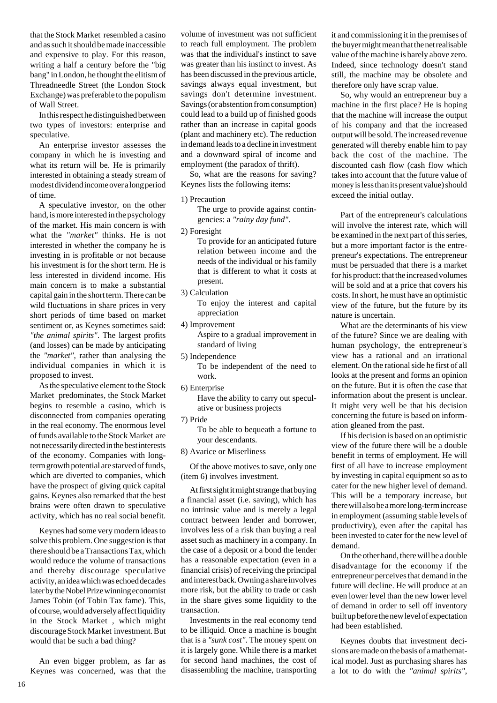that the Stock Market resembled a casino and as such it should be made inaccessible and expensive to play. For this reason, writing a half a century before the "big bang" in London, he thought the elitism of Threadneedle Street (the London Stock Exchange) was preferable to the populism of Wall Street.

 In this respect he distinguished between two types of investors: enterprise and speculative.

 An enterprise investor assesses the company in which he is investing and what its return will be. He is primarily interested in obtaining a steady stream of modest dividend income over a long period of time.

 A speculative investor, on the other hand, is more interested in the psychology of the market. His main concern is with what the *"market"* thinks. He is not interested in whether the company he is investing in is profitable or not because his investment is for the short term. He is less interested in dividend income. His main concern is to make a substantial capital gain in the short term. There can be wild fluctuations in share prices in very short periods of time based on market sentiment or, as Keynes sometimes said:  *"the animal spirits"*. The largest profits (and losses) can be made by anticipating the *"market"*, rather than analysing the individual companies in which it is proposed to invest.

 As the speculative element to the Stock Market predominates, the Stock Market begins to resemble a casino, which is disconnected from companies operating in the real economy. The enormous level of funds available to the Stock Market are not necessarily directed in the best interests of the economy. Companies with long term growth potential are starved of funds, which are diverted to companies, which have the prospect of giving quick capital gains. Keynes also remarked that the best brains were often drawn to speculative activity, which has no real social benefit.

 Keynes had some very modern ideas to solve this problem. One suggestion is that there should be a Transactions Tax, which would reduce the volume of transactions and thereby discourage speculative activity, an idea which was echoed decades later by the Nobel Prize winning economist James Tobin (of Tobin Tax fame). This, of course, would adversely affect liquidity in the Stock Market , which might discourage Stock Market investment. But would that be such a bad thing?

 An even bigger problem, as far as Keynes was concerned, was that the

volume of investment was not sufficient to reach full employment. The problem was that the individual's instinct to save was greater than his instinct to invest. As has been discussed in the previous article, savings always equal investment, but savings don't determine investment. Savings (or abstention from consumption) could lead to a build up of finished goods rather than an increase in capital goods (plant and machinery etc). The reduction in demand leads to a decline in investment and a downward spiral of income and employment (the paradox of thrift).

 So, what are the reasons for saving? Keynes lists the following items:

#### 1) Precaution

 The urge to provide against contin gencies: a *"rainy day fund"*.

2) Foresight

 To provide for an anticipated future relation between income and the needs of the individual or his family that is different to what it costs at present.

3) Calculation

 To enjoy the interest and capital appreciation

4) Improvement

 Aspire to a gradual improvement in standard of living

- 5) Independence To be independent of the need to work.
- 6) Enterprise

 Have the ability to carry out specul ative or business projects

7) Pride

 To be able to bequeath a fortune to your descendants.

8) Avarice or Miserliness

 Of the above motives to save, only one (item 6) involves investment.

 At first sight it might strange that buying a financial asset (i.e. saving), which has no intrinsic value and is merely a legal contract between lender and borrower, involves less of a risk than buying a real asset such as machinery in a company. In the case of a deposit or a bond the lender has a reasonable expectation (even in a financial crisis) of receiving the principal and interest back. Owning a share involves more risk, but the ability to trade or cash in the share gives some liquidity to the transaction.

 Investments in the real economy tend to be illiquid. Once a machine is bought that is a *"sunk cost"*. The money spent on it is largely gone. While there is a market for second hand machines, the cost of disassembling the machine, transporting it and commissioning it in the premises of the buyer might mean that the net realisable value of the machine is barely above zero. Indeed, since technology doesn't stand still, the machine may be obsolete and therefore only have scrap value.

 So, why would an entrepreneur buy a machine in the first place? He is hoping that the machine will increase the output of his company and that the increased output will be sold. The increased revenue generated will thereby enable him to pay back the cost of the machine. The discounted cash flow (cash flow which takes into account that the future value of money is less than its present value) should exceed the initial outlay.

 Part of the entrepreneur's calculations will involve the interest rate, which will be examined in the next part of this series, but a more important factor is the entre preneur's expectations. The entrepreneur must be persuaded that there is a market for his product: that the increased volumes will be sold and at a price that covers his costs. In short, he must have an optimistic view of the future, but the future by its nature is uncertain.

 What are the determinants of his view of the future? Since we are dealing with human psychology, the entrepreneur's view has a rational and an irrational element. On the rational side he first of all looks at the present and forms an opinion on the future. But it is often the case that information about the present is unclear. It might very well be that his decision concerning the future is based on inform ation gleaned from the past.

 If his decision is based on an optimistic view of the future there will be a double benefit in terms of employment. He will first of all have to increase employment by investing in capital equipment so as to cater for the new higher level of demand. This will be a temporary increase, but there will also be a more long-term increase in employment (assuming stable levels of productivity), even after the capital has been invested to cater for the new level of demand.

 On the other hand, there will be a double disadvantage for the economy if the entrepreneur perceives that demand in the future will decline. He will produce at an even lower level than the new lower level of demand in order to sell off inventory built up before the new level of expectation had been established.

 Keynes doubts that investment deci sions are made on the basis of a mathemat ical model. Just as purchasing shares has a lot to do with the *"animal spirits"*,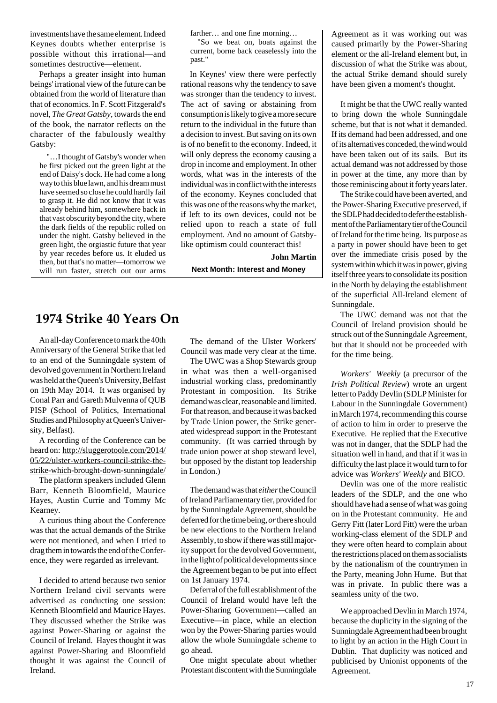<span id="page-16-0"></span>investments have the same element. Indeed Keynes doubts whether enterprise is possible without this irrational—and sometimes destructive—element.

Perhaps a greater insight into human beings' irrational view of the future can be obtained from the world of literature than that of economics. In F. Scott Fitzgerald's novel, *The Great Gatsby*, towards the end of the book, the narrator reflects on the character of the fabulously wealthy Gatsby:

"…I thought of Gatsby's wonder when he first picked out the green light at the end of Daisy's dock. He had come a long way to this blue lawn, and his dream must have seemed so close he could hardly fail to grasp it. He did not know that it was already behind him, somewhere back in that vast obscurity beyond the city, where the dark fields of the republic rolled on under the night. Gatsby believed in the green light, the orgiastic future that year by year recedes before us. It eluded us then, but that's no matter—tomorrow we will run faster, stretch out our arms

farther… and one fine morning…

"So we beat on, boats against the current, borne back ceaselessly into the past."

In Keynes' view there were perfectly rational reasons why the tendency to save was stronger than the tendency to invest. The act of saving or abstaining from consumption is likely to give a more secure return to the individual in the future than a decision to invest. But saving on its own is of no benefit to the economy. Indeed, it will only depress the economy causing a drop in income and employment. In other words, what was in the interests of the individual was in conflict with the interests of the economy. Keynes concluded that this was one of the reasons why the market, if left to its own devices, could not be relied upon to reach a state of full employment. And no amount of Gatsbylike optimism could counteract this!

**John Martin**

**Next Month: Interest and Money**

## **1974 Strike 40 Years On**

An all-day Conference to mark the 40th Anniversary of the General Strike that led to an end of the Sunningdale system of devolved government in Northern Ireland was held at the Queen's University, Belfast on 19th May 2014. It was organised by Conal Parr and Gareth Mulvenna of QUB PISP (School of Politics, International Studies and Philosophy at Queen's University, Belfast).

A recording of the Conference can be heard on: http://sluggerotoole.com/2014/ 05/22/ulster-workers-council-strike-thestrike-which-brought-down-sunningdale/

The platform speakers included Glenn Barr, Kenneth Bloomfield, Maurice Hayes, Austin Currie and Tommy Mc Kearney.

A curious thing about the Conference was that the actual demands of the Strike were not mentioned, and when I tried to drag them in towards the end of the Conference, they were regarded as irrelevant.

I decided to attend because two senior Northern Ireland civil servants were advertised as conducting one session: Kenneth Bloomfield and Maurice Hayes. They discussed whether the Strike was against Power-Sharing or against the Council of Ireland. Hayes thought it was against Power-Sharing and Bloomfield thought it was against the Council of Ireland.

The demand of the Ulster Workers' Council was made very clear at the time.

The UWC was a Shop Stewards group in what was then a well-organised industrial working class, predominantly Protestant in composition. Its Strike demand was clear, reasonable and limited. For that reason, and because it was backed by Trade Union power, the Strike generated widespread support in the Protestant community. (It was carried through by trade union power at shop steward level, but opposed by the distant top leadership in London.)

The demand was that *either*the Council of Ireland Parliamentary tier, provided for by the Sunningdale Agreement, should be deferred for the time being,*or*there should be new elections to the Northern Ireland Assembly, to show if there was still majority support for the devolved Government, in the light of political developments since the Agreement began to be put into effect on 1st January 1974.

Deferral of the full establishment of the Council of Ireland would have left the Power-Sharing Government—called an Executive—in place, while an election won by the Power-Sharing parties would allow the whole Sunningdale scheme to go ahead.

One might speculate about whether Protestant discontent with the Sunningdale

Agreement as it was working out was caused primarily by the Power-Sharing element or the all-Ireland element but, in discussion of what the Strike was about, the actual Strike demand should surely have been given a moment's thought.

It might be that the UWC really wanted to bring down the whole Sunningdale scheme, but that is not what it demanded. If its demand had been addressed, and one of its alternatives conceded, the wind would have been taken out of its sails. But its actual demand was not addressed by those in power at the time, any more than by those reminiscing about it forty years later.

The Strike could have been averted, and the Power-Sharing Executive preserved, if the SDLP had decided to defer the establishment of the Parliamentary tier of the Council of Ireland for the time being. Its purpose as a party in power should have been to get over the immediate crisis posed by the system within which it was in power, giving itself three years to consolidate its position in the North by delaying the establishment of the superficial All-Ireland element of Sunningdale.

The UWC demand was not that the Council of Ireland provision should be struck out of the Sunningdale Agreement, but that it should not be proceeded with for the time being.

*Workers' Weekly* (a precursor of the *Irish Political Review*) wrote an urgent letter to Paddy Devlin (SDLP Minister for Labour in the Sunningdale Government) in March 1974, recommending this course of action to him in order to preserve the Executive. He replied that the Executive was not in danger, that the SDLP had the situation well in hand, and that if it was in difficulty the last place it would turn to for advice was *Workers' Weekly* and BICO.

Devlin was one of the more realistic leaders of the SDLP, and the one who should have had a sense of what was going on in the Protestant community. He and Gerry Fitt (later Lord Fitt) were the urban working-class element of the SDLP and they were often heard to complain about the restrictions placed on them as socialists by the nationalism of the countrymen in the Party, meaning John Hume. But that was in private. In public there was a seamless unity of the two.

We approached Devlin in March 1974, because the duplicity in the signing of the Sunningdale Agreement had been brought to light by an action in the High Court in Dublin. That duplicity was noticed and publicised by Unionist opponents of the Agreement.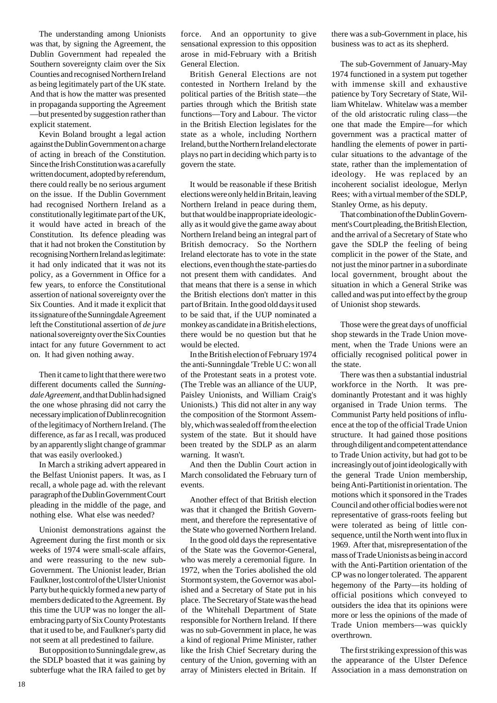The understanding among Unionists was that, by signing the Agreement, the Dublin Government had repealed the Southern sovereignty claim over the Six Counties and recognised Northern Ireland as being legitimately part of the UK state. And that is how the matter was presented in propaganda supporting the Agreement —but presented by suggestion rather than explicit statement.

 Kevin Boland brought a legal action against the Dublin Government on a charge of acting in breach of the Constitution. Since the Irish Constitution was a carefully written document, adopted by referendum, there could really be no serious argument on the issue. If the Dublin Government had recognised Northern Ireland as a constitutionally legitimate part of the UK, it would have acted in breach of the Constitution. Its defence pleading was that it had not broken the Constitution by recognising Northern Ireland as legitimate: it had only indicated that it was not its policy, as a Government in Office for a few years, to enforce the Constitutional assertion of national sovereignty over the Six Counties. And it made it explicit that its signature of the Sunningdale Agreement left the Constitutional assertion of *de jure* national sovereignty over the Six Counties intact for any future Government to act on. It had given nothing away.

 Then it came to light that there were two different documents called the *Sunning dale Agreement*, and that Dublin had signed the one whose phrasing did not carry the necessary implication of Dublin recognition of the legitimacy of Northern Ireland. (The difference, as far as I recall, was produced by an apparently slight change of grammar that was easily overlooked.)

 In March a striking advert appeared in the Belfast Unionist papers. It was, as I recall, a whole page ad. with the relevant paragraph of the Dublin Government Court pleading in the middle of the page, and nothing else. What else was needed?

 Unionist demonstrations against the Agreement during the first month or six weeks of 1974 were small-scale affairs, and were reassuring to the new sub- Government. The Unionist leader, Brian Faulkner, lost control of the Ulster Unionist Party but he quickly formed a new party of members dedicated to the Agreement. By this time the UUP was no longer the all embracing party of Six County Protestants that it used to be, and Faulkner's party did not seem at all predestined to failure.

 But opposition to Sunningdale grew, as the SDLP boasted that it was gaining by subterfuge what the IRA failed to get by

force. And an opportunity to give sensational expression to this opposition arose in mid-February with a British General Election.

 British General Elections are not contested in Northern Ireland by the political parties of the British state—the parties through which the British state functions—Tory and Labour. The victor in the British Election legislates for the state as a whole, including Northern Ireland, but the Northern Ireland electorate plays no part in deciding which party is to govern the state.

 It would be reasonable if these British elections were only held in Britain, leaving Northern Ireland in peace during them, but that would be inappropriate ideologic ally as it would give the game away about Northern Ireland being an integral part of British democracy. So the Northern Ireland electorate has to vote in the state elections, even though the state-parties do not present them with candidates. And that means that there is a sense in which the British elections don't matter in this part of Britain. In the good old days it used to be said that, if the UUP nominated a monkey as candidate in a British elections, there would be no question but that he would be elected.

 In the British election of February 1974 the anti-Sunningdale 'Treble U C: won all of the Protestant seats in a protest vote. (The Treble was an alliance of the UUP, Paisley Unionists, and William Craig's Unionists.) This did not alter in any way the composition of the Stormont Assem bly, which was sealed off from the election system of the state. But it should have been treated by the SDLP as an alarm warning. It wasn't.

 And then the Dublin Court action in March consolidated the February turn of events.

 Another effect of that British election was that it changed the British Govern ment, and therefore the representative of the State who governed Northern Ireland.

 In the good old days the representative of the State was the Governor-General, who was merely a ceremonial figure. In 1972, when the Tories abolished the old Stormont system, the Governor was abol ished and a Secretary of State put in his place. The Secretary of State was the head of the Whitehall Department of State responsible for Northern Ireland. If there was no sub-Government in place, he was a kind of regional Prime Minister, rather like the Irish Chief Secretary during the century of the Union, governing with an array of Ministers elected in Britain. If there was a sub-Government in place, his business was to act as its shepherd.

 The sub-Government of January-May 1974 functioned in a system put together with immense skill and exhaustive patience by Tory Secretary of State, Wil liam Whitelaw. Whitelaw was a member of the old aristocratic ruling class—the one that made the Empire—for which government was a practical matter of handling the elements of power in parti cular situations to the advantage of the state, rather than the implementation of ideology. He was replaced by an incoherent socialist ideologue, Merlyn Rees; with a virtual member of the SDLP, Stanley Orme, as his deputy.

 That combination of the Dublin Govern ment's Court pleading, the British Election, and the arrival of a Secretary of State who gave the SDLP the feeling of being complicit in the power of the State, and not just the minor partner in a subordinate local government, brought about the situation in which a General Strike was called and was put into effect by the group of Unionist shop stewards.

 Those were the great days of unofficial shop stewards in the Trade Union move ment, when the Trade Unions were an officially recognised political power in the state.

 There was then a substantial industrial workforce in the North. It was pre dominantly Protestant and it was highly organised in Trade Union terms. The Communist Party held positions of influ ence at the top of the official Trade Union structure. It had gained those positions through diligent and competent attendance to Trade Union activity, but had got to be increasingly out of joint ideologically with the general Trade Union membership, being Anti-Partitionist in orientation. The motions which it sponsored in the Trades Council and other official bodies were not representative of grass-roots feeling but were tolerated as being of little con sequence, until the North went into flux in 1969. After that, misrepresentation of the mass of Trade Unionists as being in accord with the Anti-Partition orientation of the CP was no longer tolerated. The apparent hegemony of the Party—its holding of official positions which conveyed to outsiders the idea that its opinions were more or less the opinions of the made of Trade Union members—was quickly overthrown.

 The first striking expression of this was the appearance of the Ulster Defence Association in a mass demonstration on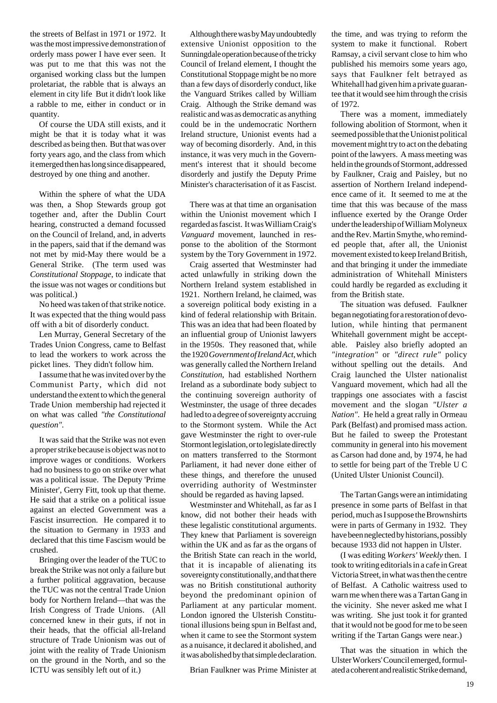the streets of Belfast in 1971 or 1972. It was the most impressive demonstration of orderly mass power I have ever seen. It was put to me that this was not the organised working class but the lumpen proletariat, the rabble that is always an element in city life But it didn't look like a rabble to me, either in conduct or in quantity.

Of course the UDA still exists, and it might be that it is today what it was described as being then. But that was over forty years ago, and the class from which it emerged then has long since disappeared, destroyed by one thing and another.

Within the sphere of what the UDA was then, a Shop Stewards group got together and, after the Dublin Court hearing, constructed a demand focussed on the Council of Ireland, and, in adverts in the papers, said that if the demand was not met by mid-May there would be a General Strike. (The term used was *Constitutional Stoppage*, to indicate that the issue was not wages or conditions but was political.)

No heed was taken of that strike notice. It was expected that the thing would pass off with a bit of disorderly conduct.

Len Murray, General Secretary of the Trades Union Congress, came to Belfast to lead the workers to work across the picket lines. They didn't follow him.

I assume that he was invited over by the Communist Party, which did not understand the extent to which the general Trade Union membership had rejected it on what was called *"the Constitutional question"*.

It was said that the Strike was not even a proper strike because is object was not to improve wages or conditions. Workers had no business to go on strike over what was a political issue. The Deputy 'Prime Minister', Gerry Fitt, took up that theme. He said that a strike on a political issue against an elected Government was a Fascist insurrection. He compared it to the situation to Germany in 1933 and declared that this time Fascism would be crushed.

Bringing over the leader of the TUC to break the Strike was not only a failure but a further political aggravation, because the TUC was not the central Trade Union body for Northern Ireland—that was the Irish Congress of Trade Unions. (All concerned knew in their guts, if not in their heads, that the official all-Ireland structure of Trade Unionism was out of joint with the reality of Trade Unionism on the ground in the North, and so the ICTU was sensibly left out of it.)

Although there was by May undoubtedly extensive Unionist opposition to the Sunningdale operation because of the tricky Council of Ireland element, I thought the Constitutional Stoppage might be no more than a few days of disorderly conduct, like the Vanguard Strikes called by William Craig. Although the Strike demand was realistic and was as democratic as anything could be in the undemocratic Northern Ireland structure, Unionist events had a way of becoming disorderly. And, in this instance, it was very much in the Government's interest that it should become disorderly and justify the Deputy Prime Minister's characterisation of it as Fascist.

There was at that time an organisation within the Unionist movement which I regarded as fascist. It was William Craig's *Vanguard* movement, launched in response to the abolition of the Stormont system by the Tory Government in 1972.

Craig asserted that Westminster had acted unlawfully in striking down the Northern Ireland system established in 1921. Northern Ireland, he claimed, was a sovereign political body existing in a kind of federal relationship with Britain. This was an idea that had been floated by an influential group of Unionist lawyers in the 1950s. They reasoned that, while the 1920*Government of Ireland Act*, which was generally called the Northern Ireland *Constitution*, had established Northern Ireland as a subordinate body subject to the continuing sovereign authority of Westminster, the usage of three decades had led to a degree of sovereignty accruing to the Stormont system. While the Act gave Westminster the right to over-rule Stormont legislation, or to legislate directly on matters transferred to the Stormont Parliament, it had never done either of these things, and therefore the unused overriding authority of Westminster should be regarded as having lapsed.

Westminster and Whitehall, as far as I know, did not bother their heads with these legalistic constitutional arguments. They knew that Parliament is sovereign within the UK and as far as the organs of the British State can reach in the world, that it is incapable of alienating its sovereignty constitutionally, and that there was no British constitutional authority beyond the predominant opinion of Parliament at any particular moment. London ignored the Ulsterish Constitutional illusions being spun in Belfast and, when it came to see the Stormont system as a nuisance, it declared it abolished, and it was abolished by that simple declaration.

Brian Faulkner was Prime Minister at

the time, and was trying to reform the system to make it functional. Robert Ramsay, a civil servant close to him who published his memoirs some years ago, says that Faulkner felt betrayed as Whitehall had given him a private guarantee that it would see him through the crisis of 1972.

There was a moment, immediately following abolition of Stormont, when it seemed possible that the Unionist political movement might try to act on the debating point of the lawyers. A mass meeting was held in the grounds of Stormont, addressed by Faulkner, Craig and Paisley, but no assertion of Northern Ireland independence came of it. It seemed to me at the time that this was because of the mass influence exerted by the Orange Order under the leadership of William Molyneux and the Rev. Martin Smythe, who reminded people that, after all, the Unionist movement existed to keep Ireland British, and that bringing it under the immediate administration of Whitehall Ministers could hardly be regarded as excluding it from the British state.

The situation was defused. Faulkner began negotiating for a restoration of devolution, while hinting that permanent Whitehall government might be acceptable. Paisley also briefly adopted an *"integration"* or *"direct rule"* policy without spelling out the details. And Craig launched the Ulster nationalist Vanguard movement, which had all the trappings one associates with a fascist movement and the slogan *"Ulster a Nation"*. He held a great rally in Ormeau Park (Belfast) and promised mass action. But he failed to sweep the Protestant community in general into his movement as Carson had done and, by 1974, he had to settle for being part of the Treble U C (United Ulster Unionist Council).

The Tartan Gangs were an intimidating presence in some parts of Belfast in that period, much as I suppose the Brownshirts were in parts of Germany in 1932. They have been neglected by historians, possibly because 1933 did not happen in Ulster.

(I was editing *Workers' Weekly* then. I took to writing editorials in a cafe in Great Victoria Street, in what was then the centre of Belfast. A Catholic waitress used to warn me when there was a Tartan Gang in the vicinity. She never asked me what I was writing. She just took it for granted that it would not be good for me to be seen writing if the Tartan Gangs were near.)

That was the situation in which the Ulster Workers' Council emerged, formulated a coherent and realistic Strike demand,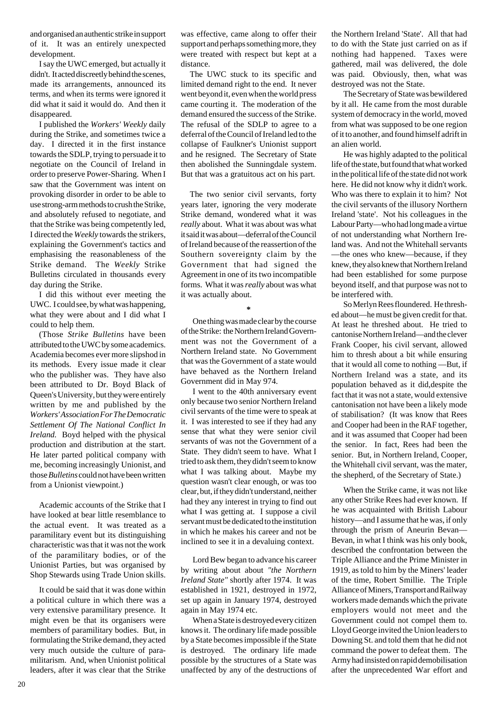and organised an authentic strike in support of it. It was an entirely unexpected development.

 I say the UWC emerged, but actually it didn't. It acted discreetly behind the scenes, made its arrangements, announced its terms, and when its terms were ignored it did what it said it would do. And then it disappeared.

 I published the *Workers' Weekly* daily during the Strike, and sometimes twice a day. I directed it in the first instance towards the SDLP, trying to persuade it to negotiate on the Council of Ireland in order to preserve Power-Sharing. When I saw that the Government was intent on provoking disorder in order to be able to use strong-arm methods to crush the Strike, and absolutely refused to negotiate, and that the Strike was being competently led, I directed the *Weekly* towards the strikers, explaining the Government's tactics and emphasising the reasonableness of the Strike demand. The *Weekly* Strike Bulletins circulated in thousands every day during the Strike.

 I did this without ever meeting the UWC. I could see, by what was happening, what they were about and I did what I could to help them.

 (Those *Strike Bulletins* have been attributed to the UWC by some academics. Academia becomes ever more slipshod in its methods. Every issue made it clear who the publisher was. They have also been attributed to Dr. Boyd Black of Queen's University, but they were entirely written by me and published by the  *Workers' Association For The Democratic Settlement Of The National Conflict In Ireland.* Boyd helped with the physical production and distribution at the start. He later parted political company with me, becoming increasingly Unionist, and those*Bulletins*could not have been written from a Unionist viewpoint.)

 Academic accounts of the Strike that I have looked at bear little resemblance to the actual event. It was treated as a paramilitary event but its distinguishing characteristic was that it was not the work of the paramilitary bodies, or of the Unionist Parties, but was organised by Shop Stewards using Trade Union skills.

 It could be said that it was done within a political culture in which there was a very extensive paramilitary presence. It might even be that its organisers were members of paramilitary bodies. But, in formulating the Strike demand, they acted very much outside the culture of para militarism. And, when Unionist political leaders, after it was clear that the Strike

was effective, came along to offer their support and perhaps something more, they were treated with respect but kept at a distance.

 The UWC stuck to its specific and limited demand right to the end. It never went beyond it, even when the world press came courting it. The moderation of the demand ensured the success of the Strike. The refusal of the SDLP to agree to a deferral of the Council of Ireland led to the collapse of Faulkner's Unionist support and he resigned. The Secretary of State then abolished the Sunningdale system. But that was a gratuitous act on his part.

 The two senior civil servants, forty years later, ignoring the very moderate Strike demand, wondered what it was  *really* about. What it was about was what it said it was about—deferral of the Council of Ireland because of the reassertion of the Southern sovereignty claim by the Government that had signed the Agreement in one of its two incompatible forms. What it was *really* about was what it was actually about.

 **\***

 One thing was made clear by the course of the Strike: the Northern Ireland Govern ment was not the Government of a Northern Ireland state. No Government that was the Government of a state would have behaved as the Northern Ireland Government did in May 974.

 I went to the 40th anniversary event only because two senior Northern Ireland civil servants of the time were to speak at it. I was interested to see if they had any sense that what they were senior civil servants of was not the Government of a State. They didn't seem to have. What I tried to ask them, they didn't seem to know what I was talking about. Maybe my question wasn't clear enough, or was too clear, but, if they didn't understand, neither had they any interest in trying to find out what I was getting at. I suppose a civil servant must be dedicated to the institution in which he makes his career and not be inclined to see it in a devaluing context.

 Lord Bew began to advance his career by writing about about *"the Northern Ireland State"* shortly after 1974. It was established in 1921, destroyed in 1972, set up again in January 1974, destroyed again in May 1974 etc.

 When a State is destroyed every citizen knows it. The ordinary life made possible by a State becomes impossible if the State is destroyed. The ordinary life made possible by the structures of a State was unaffected by any of the destructions of the Northern Ireland 'State'. All that had to do with the State just carried on as if nothing had happened. Taxes were gathered, mail was delivered, the dole was paid. Obviously, then, what was destroyed was not the State.

 The Secretary of State was bewildered by it all. He came from the most durable system of democracy in the world, moved from what was supposed to be one region of it to another, and found himself adrift in an alien world.

He was highly adapted to the political life of the state, but found that what worked in the political life of the state did not work here. He did not know why it didn't work. Who was there to explain it to him? Not the civil servants of the illusory Northern Ireland 'state'. Not his colleagues in the Labour Party—who had long made a virtue of not understanding what Northern Ireland was. And not the Whitehall servants —the ones who knew—because, if they knew, they also knew that Northern Ireland had been established for some purpose beyond itself, and that purpose was not to be interfered with.

So Merlyn Rees floundered. He threshed about—he must be given credit for that. At least he threshed about. He tried to cantonise Northern Ireland—and the clever Frank Cooper, his civil servant, allowed him to thresh about a bit while ensuring that it would all come to nothing —But, if Northern Ireland was a state, and its population behaved as it did,despite the fact that it was not a state, would extensive cantonisation not have been a likely mode of stabilisation? (It was know that Rees and Cooper had been in the RAF together, and it was assumed that Cooper had been the senior. In fact, Rees had been the senior. But, in Northern Ireland, Cooper, the Whitehall civil servant, was the mater, the shepherd, of the Secretary of State.)

When the Strike came, it was not like any other Strike Rees had ever known. If he was acquainted with British Labour history—and I assume that he was, if only through the prism of Aneurin Bevan— Bevan, in what I think was his only book, described the confrontation between the Triple Alliance and the Prime Minister in 1919, as told to him by the Miners' leader of the time, Robert Smillie. The Triple Alliance of Miners, Transport and Railway workers made demands which the private employers would not meet and the Government could not compel them to. Lloyd George invited the Union leaders to Downing St. and told them that he did not command the power to defeat them. The Army had insisted on rapid demobilisation after the unprecedented War effort and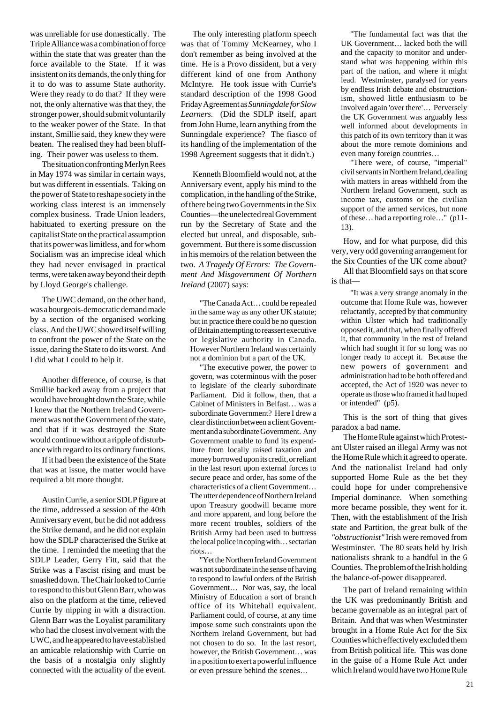was unreliable for use domestically. The Triple Alliance was a combination of force within the state that was greater than the force available to the State. If it was insistent on its demands, the only thing for it to do was to assume State authority. Were they ready to do that? If they were not, the only alternative was that they, the stronger power, should submit voluntarily to the weaker power of the State. In that instant, Smillie said, they knew they were beaten. The realised they had been bluffing. Their power was useless to them.

The situation confronting Merlyn Rees in May 1974 was similar in certain ways, but was different in essentials. Taking on the power of State to reshape society in the working class interest is an immensely complex business. Trade Union leaders, habituated to exerting pressure on the capitalist State on the practical assumption that its power was limitless, and for whom Socialism was an imprecise ideal which they had never envisaged in practical terms, were taken away beyond their depth by Lloyd George's challenge.

The UWC demand, on the other hand, was a bourgeois-democratic demand made by a section of the organised working class. And the UWC showed itself willing to confront the power of the State on the issue, daring the State to do its worst. And I did what I could to help it.

Another difference, of course, is that Smillie backed away from a project that would have brought down the State, while I knew that the Northern Ireland Government was not the Government of the state, and that if it was destroyed the State would continue without a ripple of disturbance with regard to its ordinary functions.

If it had been the existence of the State that was at issue, the matter would have required a bit more thought.

Austin Currie, a senior SDLP figure at the time, addressed a session of the 40th Anniversary event, but he did not address the Strike demand, and he did not explain how the SDLP characterised the Strike at the time. I reminded the meeting that the SDLP Leader, Gerry Fitt, said that the Strike was a Fascist rising and must be smashed down. The Chair looked to Currie to respond to this but Glenn Barr, who was also on the platform at the time, relieved Currie by nipping in with a distraction. Glenn Barr was the Loyalist paramilitary who had the closest involvement with the UWC, and he appeared to have established an amicable relationship with Currie on the basis of a nostalgia only slightly connected with the actuality of the event.

The only interesting platform speech was that of Tommy McKearney, who I don't remember as being involved at the time. He is a Provo dissident, but a very different kind of one from Anthony McIntyre. He took issue with Currie's standard description of the 1998 Good Friday Agreement as*Sunningdale for Slow Learners*. (Did the SDLP itself, apart from John Hume, learn anything from the Sunningdale experience? The fiasco of its handling of the implementation of the 1998 Agreement suggests that it didn't.)

Kenneth Bloomfield would not, at the Anniversary event, apply his mind to the complication, in the handling of the Strike, of there being two Governments in the Six Counties—the unelected real Government run by the Secretary of State and the elected but unreal, and disposable, subgovernment. But there is some discussion in his memoirs of the relation between the two. *A Tragedy Of Errors: The Government And Misgovernment Of Northern Ireland* (2007) says:

"The Canada Act… could be repealed in the same way as any other UK statute; but in practice there could be no question of Britain attempting to reassert executive or legislative authority in Canada. However Northern Ireland was certainly not a dominion but a part of the UK.

"The executive power, the power to govern, was coterminous with the poser to legislate of the clearly subordinate Parliament. Did it follow, then, that a Cabinet of Ministers in Belfast… was a subordinate Government? Here I drew a clear distinction between a client Government and a subordinate Government. Any Government unable to fund its expenditure from locally raised taxation and money borrowed upon its credit, or reliant in the last resort upon external forces to secure peace and order, has some of the characteristics of a client Government… The utter dependence of Northern Ireland upon Treasury goodwill became more and more apparent, and long before the more recent troubles, soldiers of the British Army had been used to buttress the local police in coping with… sectarian riots…

"Yet the Northern Ireland Government was not subordinate in the sense of having to respond to lawful orders of the British Government… Nor was, say, the local Ministry of Education a sort of branch office of its Whitehall equivalent. Parliament could, of course, at any time impose some such constraints upon the Northern Ireland Government, but had not chosen to do so. In the last resort, however, the British Government… was in a position to exert a powerful influence or even pressure behind the scenes…

"The fundamental fact was that the UK Government… lacked both the will and the capacity to monitor and understand what was happening within this part of the nation, and where it might lead. Westminster, paralysed for years by endless Irish debate and obstructionism, showed little enthusiasm to be involved again 'over there'… Perversely the UK Government was arguably less well informed about developments in this patch of its own territory than it was about the more remote dominions and even many foreign countries…

"There were, of course, "imperial" civil servants in Northern Ireland, dealing with matters in areas withheld from the Northern Ireland Government, such as income tax, customs or the civilian support of the armed services, but none of these… had a reporting role…" (p11- 13).

How, and for what purpose, did this very, very odd governing arrangement for the Six Counties of the UK come about?

All that Bloomfield says on that score is that—

"It was a very strange anomaly in the outcome that Home Rule was, however reluctantly, accepted by that community within Ulster which had traditionally opposed it, and that, when finally offered it, that community in the rest of Ireland which had sought it for so long was no longer ready to accept it. Because the new powers of government and administration had to be both offered and accepted, the Act of 1920 was never to operate as those who framed it had hoped or intended" (p5).

This is the sort of thing that gives paradox a bad name.

The Home Rule against which Protestant Ulster raised an illegal Army was not the Home Rule which it agreed to operate. And the nationalist Ireland had only supported Home Rule as the bet they could hope for under comprehensive Imperial dominance. When something more became possible, they went for it. Then, with the establishment of the Irish state and Partition, the great bulk of the *"obstructionist"* Irish were removed from Westminster. The 80 seats held by Irish nationalists shrank to a handful in the 6 Counties. The problem of the Irish holding the balance-of-power disappeared.

The part of Ireland remaining within the UK was predominantly British and became governable as an integral part of Britain. And that was when Westminster brought in a Home Rule Act for the Six Counties which effectively excluded them from British political life. This was done in the guise of a Home Rule Act under which Ireland would have two Home Rule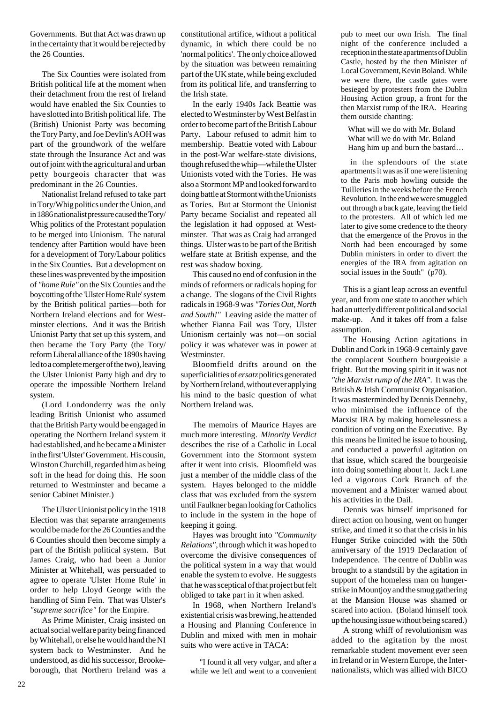Governments. But that Act was drawn up in the certainty that it would be rejected by the 26 Counties.

The Six Counties were isolated from British political life at the moment when their detachment from the rest of Ireland would have enabled the Six Counties to have slotted into British political life. The (British) Unionist Party was becoming the Tory Party, and Joe Devlin's AOH was part of the groundwork of the welfare state through the Insurance Act and was out of joint with the agricultural and urban petty bourgeois character that was predominant in the 26 Counties.

Nationalist Ireland refused to take part in Tory/Whig politics under the Union, and in 1886 nationalist pressure caused the Tory/ Whig politics of the Protestant population to be merged into Unionism. The natural tendency after Partition would have been for a development of Tory/Labour politics in the Six Counties. But a development on these lines was prevented by the imposition of *"home Rule"* on the Six Counties and the boycotting of the 'Ulster Home Rule' system by the British political parties—both for Northern Ireland elections and for Westminster elections. And it was the British Unionist Party that set up this system, and then became the Tory Party (the Tory/ reform Liberal alliance of the 1890s having led to a complete merger of the two), leaving the Ulster Unionist Party high and dry to operate the impossible Northern Ireland system.

(Lord Londonderry was the only leading British Unionist who assumed that the British Party would be engaged in operating the Northern Ireland system it had established, and he became a Minister in the first 'Ulster' Government. His cousin, Winston Churchill, regarded him as being soft in the head for doing this. He soon returned to Westminster and became a senior Cabinet Minister.)

The Ulster Unionist policy in the 1918 Election was that separate arrangements would be made for the 26 Counties and the 6 Counties should then become simply a part of the British political system. But James Craig, who had been a Junior Minister at Whitehall, was persuaded to agree to operate 'Ulster Home Rule' in order to help Lloyd George with the handling of Sinn Fein. That was Ulster's *"supreme sacrifice"* for the Empire.

As Prime Minister, Craig insisted on actual social welfare parity being financed by Whitehall, or else he would hand the NI system back to Westminster. And he understood, as did his successor, Brookeborough, that Northern Ireland was a constitutional artifice, without a political dynamic, in which there could be no 'normal politics'. The only choice allowed by the situation was between remaining part of the UK state, while being excluded from its political life, and transferring to the Irish state.

In the early 1940s Jack Beattie was elected to Westminster by West Belfast in order to become part of the British Labour Party. Labour refused to admit him to membership. Beattie voted with Labour in the post-War welfare-state divisions, though refused the whip—while the Ulster Unionists voted with the Tories. He was also a Stormont MP and looked forward to doing battle at Stormont with the Unionists as Tories. But at Stormont the Unionist Party became Socialist and repeated all the legislation it had opposed at Westminster. That was as Craig had arranged things. Ulster was to be part of the British welfare state at British expense, and the rest was shadow boxing.

This caused no end of confusion in the minds of reformers or radicals hoping for a change. The slogans of the Civil Rights radicals in 1968-9 was *"Tories Out, North and South!"* Leaving aside the matter of whether Fianna Fail was Tory, Ulster Unionism certainly was not—on social policy it was whatever was in power at Westminster.

Bloomfield drifts around on the superficialities of *ersatz* politics generated by Northern Ireland, without ever applying his mind to the basic question of what Northern Ireland was.

The memoirs of Maurice Hayes are much more interesting. *Minority Verdict* describes the rise of a Catholic in Local Government into the Stormont system after it went into crisis. Bloomfield was just a member of the middle class of the system. Hayes belonged to the middle class that was excluded from the system until Faulkner began looking for Catholics to include in the system in the hope of keeping it going.

Hayes was brought into *"Community Relations"*, through which it was hoped to overcome the divisive consequences of the political system in a way that would enable the system to evolve. He suggests that he was sceptical of that project but felt obliged to take part in it when asked.

In 1968, when Northern Ireland's existential crisis was brewing, he attended a Housing and Planning Conference in Dublin and mixed with men in mohair suits who were active in TACA:

"I found it all very vulgar, and after a while we left and went to a convenient

pub to meet our own Irish. The final night of the conference included a reception in the state apartments of Dublin Castle, hosted by the then Minister of Local Government, Kevin Boland. While we were there, the castle gates were besieged by protesters from the Dublin Housing Action group, a front for the then Marxist rump of the IRA. Hearing them outside chanting:

What will we do with Mr. Boland What will we do with Mr. Boland Hang him up and burn the bastard…

in the splendours of the state apartments it was as if one were listening to the Paris mob howling outside the Tuilleries in the weeks before the French Revolution. In the end we were smuggled out through a back gate, leaving the field to the protesters. All of which led me later to give some credence to the theory that the emergence of the Provos in the North had been encouraged by some Dublin ministers in order to divert the energies of the IRA from agitation on social issues in the South" (p70).

This is a giant leap across an eventful year, and from one state to another which had an utterly different political and social make-up. And it takes off from a false assumption.

The Housing Action agitations in Dublin and Cork in 1968-9 certainly gave the complacent Southern bourgeoisie a fright. But the moving spirit in it was not *"the Marxist rump of the IRA"*. It was the British & Irish Communist Organisation. It was masterminded by Dennis Dennehy, who minimised the influence of the Marxist IRA by making homelessness a condition of voting on the Executive. By this means he limited he issue to housing, and conducted a powerful agitation on that issue, which scared the bourgeoisie into doing something about it. Jack Lane led a vigorous Cork Branch of the movement and a Minister warned about his activities in the Dail.

Dennis was himself imprisoned for direct action on housing, went on hunger strike, and timed it so that the crisis in his Hunger Strike coincided with the 50th anniversary of the 1919 Declaration of Independence. The centre of Dublin was brought to a standstill by the agitation in support of the homeless man on hungerstrike in Mountjoy and the smug gathering at the Mansion House was shamed or scared into action. (Boland himself took up the housing issue without being scared.)

A strong whiff of revolutionism was added to the agitation by the most remarkable student movement ever seen in Ireland or in Western Europe, the Internationalists, which was allied with BICO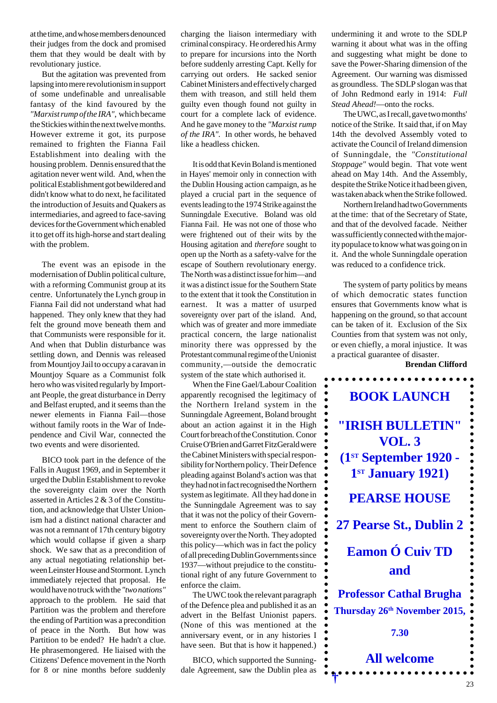at the time, and whose members denounced their judges from the dock and promised them that they would be dealt with by revolutionary justice.

But the agitation was prevented from lapsing into mere revolutionism in support of some undefinable and unrealisable fantasy of the kind favoured by the *"Marxist rump of the IRA"*, which became the Stickies within the next twelve months. However extreme it got, its purpose remained to frighten the Fianna Fail Establishment into dealing with the housing problem. Dennis ensured that the agitation never went wild. And, when the political Establishment got bewildered and didn't know what to do next, he facilitated the introduction of Jesuits and Quakers as intermediaries, and agreed to face-saving devices for the Government which enabled it to get off its high-horse and start dealing with the problem.

The event was an episode in the modernisation of Dublin political culture, with a reforming Communist group at its centre. Unfortunately the Lynch group in Fianna Fail did not understand what had happened. They only knew that they had felt the ground move beneath them and that Communists were responsible for it. And when that Dublin disturbance was settling down, and Dennis was released from Mountjoy Jail to occupy a caravan in Mountjoy Square as a Communist folk hero who was visited regularly by Important People, the great disturbance in Derry and Belfast erupted, and it seems than the newer elements in Fianna Fail—those without family roots in the War of Independence and Civil War, connected the two events and were disoriented.

BICO took part in the defence of the Falls in August 1969, and in September it urged the Dublin Establishment to revoke the sovereignty claim over the North asserted in Articles 2 & 3 of the Constitution, and acknowledge that Ulster Unionism had a distinct national character and was not a remnant of 17th century bigotry which would collapse if given a sharp shock. We saw that as a precondition of any actual negotiating relationship between Leinster House and Stormont. Lynch immediately rejected that proposal. He would have no truck with the*"two nations"* approach to the problem. He said that Partition was the problem and therefore the ending of Partition was a precondition of peace in the North. But how was Partition to be ended? He hadn't a clue. He phrasemongered. He liaised with the Citizens' Defence movement in the North for 8 or nine months before suddenly

charging the liaison intermediary with criminal conspiracy. He ordered his Army to prepare for incursions into the North before suddenly arresting Capt. Kelly for carrying out orders. He sacked senior Cabinet Ministers and effectively charged them with treason, and still held them guilty even though found not guilty in court for a complete lack of evidence. And he gave money to the *"Marxist rump of the IRA".* In other words, he behaved like a headless chicken.

It is odd that Kevin Boland is mentioned in Hayes' memoir only in connection with the Dublin Housing action campaign, as he played a crucial part in the sequence of events leading to the 1974 Strike against the Sunningdale Executive. Boland was old Fianna Fail. He was not one of those who were frightened out of their wits by the Housing agitation and *therefore* sought to open up the North as a safety-valve for the escape of Southern revolutionary energy. The North was a distinct issue for him—and it was a distinct issue for the Southern State to the extent that it took the Constitution in earnest. It was a matter of usurped sovereignty over part of the island. And, which was of greater and more immediate practical concern, the large nationalist minority there was oppressed by the Protestant communal regime of the Unionist community,—outside the democratic system of the state which authorised it.

When the Fine Gael/Labour Coalition apparently recognised the legitimacy of the Northern Ireland system in the Sunningdale Agreement, Boland brought about an action against it in the High Court for breach of the Constitution. Conor Cruise O'Brien and Garret FitzGerald were the Cabinet Ministers with special responsibility for Northern policy. Their Defence pleading against Boland's action was that they had not in fact recognised the Northern system as legitimate. All they had done in the Sunningdale Agreement was to say that it was not the policy of their Government to enforce the Southern claim of sovereignty over the North. They adopted this policy—which was in fact the policy of all preceding Dublin Governments since 1937—without prejudice to the constitutional right of any future Government to enforce the claim.

The UWC took the relevant paragraph of the Defence plea and published it as an advert in the Belfast Unionist papers. (None of this was mentioned at the anniversary event, or in any histories I have seen. But that is how it happened.)

BICO, which supported the Sunningdale Agreement, saw the Dublin plea as

**†**

undermining it and wrote to the SDLP warning it about what was in the offing and suggesting what might be done to save the Power-Sharing dimension of the Agreement. Our warning was dismissed as groundless. The SDLP slogan was that of John Redmond early in 1914: *Full Stead Ahead!*—onto the rocks.

The UWC, as I recall, gave two months' notice of the Strike. It said that, if on May 14th the devolved Assembly voted to activate the Council of Ireland dimension of Sunningdale, the *"Constitutional Stoppage"* would begin. That vote went ahead on May 14th. And the Assembly, despite the Strike Notice it had been given, was taken aback when the Strike followed.

Northern Ireland had two Governments at the time: that of the Secretary of State, and that of the devolved facade. Neither was sufficiently connected with the majority populace to know what was going on in it. And the whole Sunningdale operation was reduced to a confidence trick.

The system of party politics by means of which democratic states function ensures that Governments know what is happening on the ground, so that account can be taken of it. Exclusion of the Six Counties from that system was not only, or even chiefly, a moral injustice. It was a practical guarantee of disaster.

**Brendan Clifford**

. . . . . . . . . . . . . . . . **BOOK LAUNCH "IRISH BULLETIN" VOL. 3 (1ST September 1920 - 1ST January 1921) PEARSE HOUSE 27 Pearse St., Dublin 2 Eamon Ó Cuiv TD and Professor Cathal Brugha Thursday 26th November 2015, 7.30 All welcome**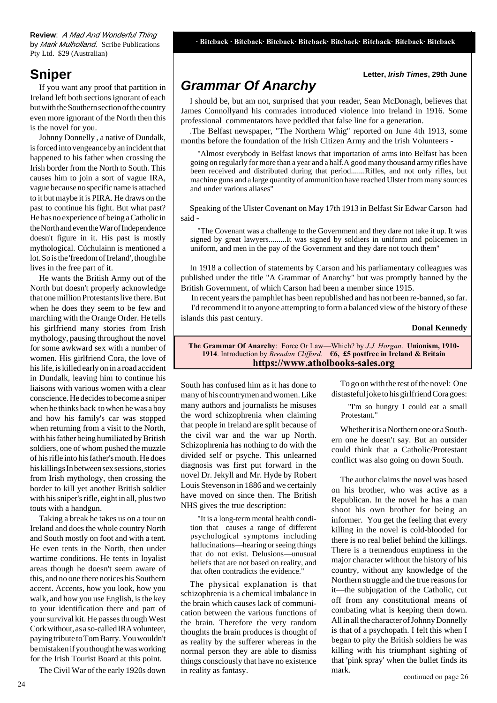<span id="page-23-0"></span>**Review**: A Mad And Wonderful Thing by Mark Mulholland. Scribe Publications Pty Ltd. \$29 (Australian)

## **Sniper**

If you want any proof that partition in Ireland left both sections ignorant of each but with the Southern section of the country even more ignorant of the North then this is the novel for you.

Johnny Donnelly , a native of Dundalk, is forced into vengeance by an incident that happened to his father when crossing the Irish border from the North to South. This causes him to join a sort of vague IRA, vague because no specific name is attached to it but maybe it is PIRA. He draws on the past to continue his fight. But what past? He has no experience of being a Catholic in the North and even the War of Independence doesn't figure in it. His past is mostly mythological. Cúchulainn is mentioned a lot. So is the 'freedom of Ireland', though he lives in the free part of it.

He wants the British Army out of the North but doesn't properly acknowledge that one million Protestants live there. But when he does they seem to be few and marching with the Orange Order. He tells his girlfriend many stories from Irish mythology, pausing throughout the novel for some awkward sex with a number of women. His girlfriend Cora, the love of his life, is killed early on in a road accident in Dundalk, leaving him to continue his liaisons with various women with a clear conscience. He decides to become a sniper when he thinks back to when he was a boy and how his family's car was stopped when returning from a visit to the North, with his father being humiliated by British soldiers, one of whom pushed the muzzle of his rifle into his father's mouth. He does his killings In between sex sessions, stories from Irish mythology, then crossing the border to kill yet another British soldier with his sniper's rifle, eight in all, plus two touts with a handgun.

Taking a break he takes us on a tour on Ireland and does the whole country North and South mostly on foot and with a tent. He even tents in the North, then under wartime conditions. He tents in loyalist areas though he doesn't seem aware of this, and no one there notices his Southern accent. Accents, how you look, how you walk, and how you use English, is the key to your identification there and part of your survival kit. He passes through West Cork without, as a so-called IRA volunteer, paying tribute to Tom Barry. You wouldn't be mistaken if you thought he was working for the Irish Tourist Board at this point.

The Civil War of the early 1920s down

 **· Biteback · Biteback· Biteback· Biteback· Biteback· Biteback· Biteback· Biteback**

## **Grammar Of Anarchy**

 **Letter, Irish Times, 29th June**

 I should be, but am not, surprised that your reader, Sean McDonagh, believes that James Connollyand his comrades introduced violence into Ireland in 1916. Some professional commentators have peddled that false line for a generation.

 .The Belfast newspaper, "The Northern Whig" reported on June 4th 1913, some months before the foundation of the Irish Citizen Army and the Irish Volunteers -

 "Almost everybody in Belfast knows that importation of arms into Belfast has been going on regularly for more than a year and a half.A good many thousand army rifles have been received and distributed during that period.......Rifles, and not only rifles, but machine guns and a large quantity of ammunition have reached Ulster from many sources and under various aliases"

 Speaking of the Ulster Covenant on May 17th 1913 in Belfast Sir Edwar Carson had said -

 "The Covenant was a challenge to the Government and they dare not take it up. It was signed by great lawyers.........It was signed by soldiers in uniform and policemen in uniform, and men in the pay of the Government and they dare not touch them"

 In 1918 a collection of statements by Carson and his parliamentary colleagues was published under the title "A Grammar of Anarchy" but was promptly banned by the British Government, of which Carson had been a member since 1915.

In recent years the pamphlet has been republished and has not been re-banned, so far. I'd recommend it to anyone attempting to form a balanced view of the history of these islands this past century.

 **The Grammar Of Anarchy**: Force Or Law—Which? by *J.J. Horgan*. **Unionism, 1910- 1914**. Introduction by *Brendan Clifford*. **€6, £5 postfree in Ireland & Britain https://www.atholbooks-sales.org**

South has confused him as it has done to many of his countrymen and women. Like many authors and journalists he misuses the word schizophrenia when claiming that people in Ireland are split because of the civil war and the war up North. Schizophrenia has nothing to do with the divided self or psyche. This unlearned diagnosis was first put forward in the novel Dr. Jekyll and Mr. Hyde by Robert Louis Stevenson in 1886 and we certainly have moved on since then. The British NHS gives the true description:

"It is a long-term mental health condition that causes a range of different psychological symptoms including hallucinations—hearing or seeing things that do not exist. Delusions—unusual beliefs that are not based on reality, and that often contradicts the evidence.

The physical explanation is that schizophrenia is a chemical imbalance in the brain which causes lack of communication between the various functions of the brain. Therefore the very random thoughts the brain produces is thought of as reality by the sufferer whereas in the normal person they are able to dismiss things consciously that have no existence in reality as fantasy.

To go on with the rest of the novel: One distasteful joke to his girlfriend Cora goes:

"I'm so hungry I could eat a small Protestant."

Whether it is a Northern one or a Southern one he doesn't say. But an outsider could think that a Catholic/Protestant conflict was also going on down South.

The author claims the novel was based on his brother, who was active as a Republican. In the novel he has a man shoot his own brother for being an informer. You get the feeling that every killing in the novel is cold-blooded for there is no real belief behind the killings. There is a tremendous emptiness in the major character without the history of his country, without any knowledge of the Northern struggle and the true reasons for it—the subjugation of the Catholic, cut off from any constitutional means of combating what is keeping them down. All in all the character of Johnny Donnelly is that of a psychopath. I felt this when I began to pity the British soldiers he was killing with his triumphant sighting of that 'pink spray' when the bullet finds its mark.

**Donal Kennedy**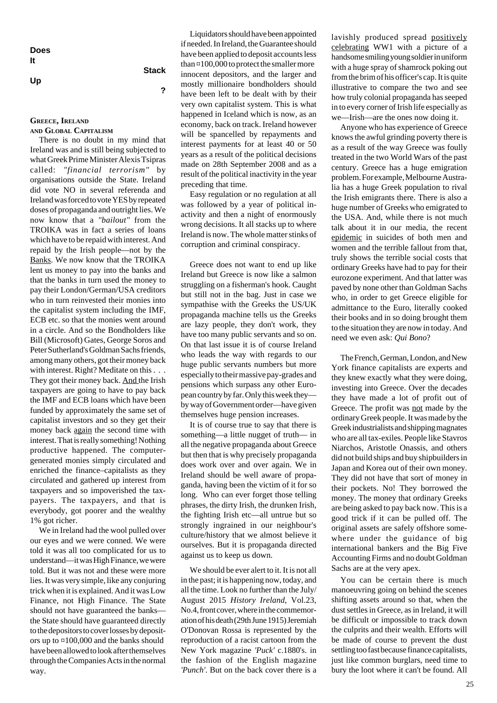<span id="page-24-0"></span>**Does It**

**Up**

## **Stack**

**?**

**GREECE, IRELAND AND GLOBAL CAPITALISM**

There is no doubt in my mind that Ireland was and is still being subjected to what Greek Prime Minister Alexis Tsipras called: *"financial terrorism"* by organisations outside the State. Ireland did vote NO in several referenda and Ireland was forced to vote YES by repeated doses of propaganda and outright lies. We now know that a *"bailout"* from the TROIKA was in fact a series of loans which have to be repaid with interest. And repaid by the Irish people—not by the Banks. We now know that the TROIKA lent us money to pay into the banks and that the banks in turn used the money to pay their London/German/USA creditors who in turn reinvested their monies into the capitalist system including the IMF, ECB etc. so that the monies went around in a circle. And so the Bondholders like Bill (Microsoft) Gates, George Soros and Peter Sutherland's Goldman Sachs friends, among many others, got their money back with interest. Right? Meditate on this . . . They got their money back. And the Irish taxpayers are going to have to pay back the IMF and ECB loans which have been funded by approximately the same set of capitalist investors and so they get their money back again the second time with interest. That is really something! Nothing productive happened. The computergenerated monies simply circulated and

enriched the finance–capitalists as they circulated and gathered up interest from taxpayers and so impoverished the taxpayers. The taxpayers, and that is everybody, got poorer and the wealthy 1% got richer.

We in Ireland had the wool pulled over our eyes and we were conned. We were told it was all too complicated for us to understand—it was High Finance, we were told. But it was not and these were more lies. It was very simple, like any conjuring trick when it is explained. And it was Low Finance, not High Finance. The State should not have guaranteed the banks the State should have guaranteed directly to the depositors to cover losses by depositors up to ¤100,000 and the banks should have been allowed to look after themselves through the Companies Acts in the normal way.

Liquidators should have been appointed if needed. In Ireland, the Guarantee should have been applied to deposit accounts less than ¤100,000 to protect the smaller more innocent depositors, and the larger and mostly millionaire bondholders should have been left to be dealt with by their very own capitalist system. This is what happened in Iceland which is now, as an economy, back on track. Ireland however will be spancelled by repayments and interest payments for at least 40 or 50 years as a result of the political decisions made on 28th September 2008 and as a result of the political inactivity in the year preceding that time.

Easy regulation or no regulation at all was followed by a year of political inactivity and then a night of enormously wrong decisions. It all stacks up to where Ireland is now. The whole matter stinks of corruption and criminal conspiracy.

Greece does not want to end up like Ireland but Greece is now like a salmon struggling on a fisherman's hook. Caught but still not in the bag. Just in case we sympathise with the Greeks the US/UK propaganda machine tells us the Greeks are lazy people, they don't work, they have too many public servants and so on. On that last issue it is of course Ireland who leads the way with regards to our huge public servants numbers but more especially to their massive pay-grades and pensions which surpass any other European country by far. Only this week they by way of Government order—have given themselves huge pension increases.

It is of course true to say that there is something—a little nugget of truth— in all the negative propaganda about Greece but then that is why precisely propaganda does work over and over again. We in Ireland should be well aware of propaganda, having been the victim of it for so long. Who can ever forget those telling phrases, the dirty Irish, the drunken Irish, the fighting Irish etc—all untrue but so strongly ingrained in our neighbour's culture/history that we almost believe it ourselves. But it is propaganda directed against us to keep us down.

We should be ever alert to it. It is not all in the past; it is happening now, today, and all the time. Look no further than the July/ August 2015 *History Ireland*, Vol.23, No.4, front cover, where in the commemoration of his death (29th June 1915) Jeremiah O'Donovan Rossa is represented by the reproduction of a racist cartoon from the New York magazine *'Puck'* c.1880's. in the fashion of the English magazine *'Punch'*. But on the back cover there is a lavishly produced spread positively celebrating WW1 with a picture of a handsome smiling young soldier in uniform with a huge spray of shamrock poking out from the brim of his officer's cap. It is quite illustrative to compare the two and see how truly colonial propaganda has seeped in to every corner of Irish life especially as we—Irish—are the ones now doing it.

Anyone who has experience of Greece knows the awful grinding poverty there is as a result of the way Greece was foully treated in the two World Wars of the past century. Greece has a huge emigration problem. For example, Melbourne Australia has a huge Greek population to rival the Irish emigrants there. There is also a huge number of Greeks who emigrated to the USA. And, while there is not much talk about it in our media, the recent epidemic in suicides of both men and women and the terrible fallout from that, truly shows the terrible social costs that ordinary Greeks have had to pay for their eurozone experiment. And that latter was paved by none other than Goldman Sachs who, in order to get Greece eligible for admittance to the Euro, literally cooked their books and in so doing brought them to the situation they are now in today. And need we even ask: *Qui Bono*?

The French, German, London, and New York finance capitalists are experts and they knew exactly what they were doing, investing into Greece. Over the decades they have made a lot of profit out of Greece. The profit was not made by the ordinary Greek people. It was made by the Greek industrialists and shipping magnates who are all tax-exiles. People like Stavros Niarchos, Aristotle Onassis, and others did not build ships and buy shipbuilders in Japan and Korea out of their own money. They did not have that sort of money in their pockets. No! They borrowed the money. The money that ordinary Greeks are being asked to pay back now. This is a good trick if it can be pulled off. The original assets are safely offshore somewhere under the guidance of big international bankers and the Big Five Accounting Firms and no doubt Goldman Sachs are at the very apex.

You can be certain there is much manoeuvring going on behind the scenes shifting assets around so that, when the dust settles in Greece, as in Ireland, it will be difficult or impossible to track down the culprits and their wealth. Efforts will be made of course to prevent the dust settling too fast because finance capitalists, just like common burglars, need time to bury the loot where it can't be found. All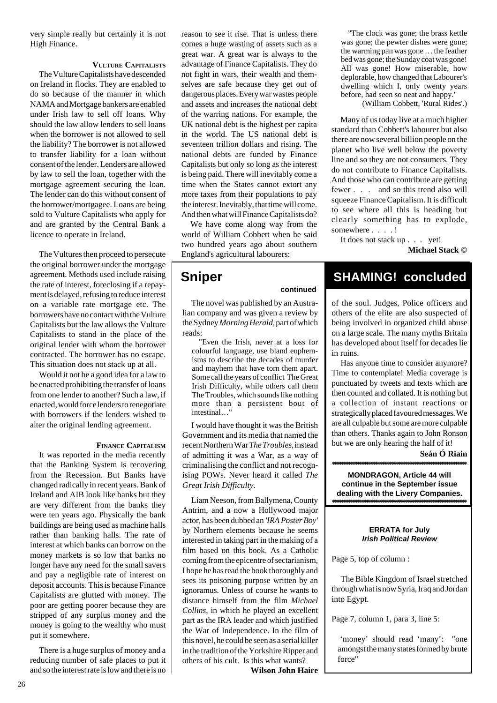<span id="page-25-0"></span>very simple really but certainly it is not High Finance.

## **VULTURE CAPITALISTS**

 The Vulture Capitalists have descended on Ireland in flocks. They are enabled to do so because of the manner in which NAMA and Mortgage bankers are enabled under Irish law to sell off loans. Why should the law allow lenders to sell loans when the borrower is not allowed to sell the liability? The borrower is not allowed to transfer liability for a loan without consent of the lender. Lenders are allowed by law to sell the loan, together with the mortgage agreement securing the loan. The lender can do this without consent of the borrower/mortgagee. Loans are being sold to Vulture Capitalists who apply for and are granted by the Central Bank a licence to operate in Ireland.

 The Vultures then proceed to persecute the original borrower under the mortgage agreement. Methods used include raising the rate of interest, foreclosing if a repay ment is delayed, refusing to reduce interest on a variable rate mortgage etc. The borrowers have no contact with the Vulture Capitalists but the law allows the Vulture Capitalists to stand in the place of the original lender with whom the borrower contracted. The borrower has no escape. This situation does not stack up at all.

 Would it not be a good idea for a law to be enacted prohibiting the transfer of loans from one lender to another? Such a law, if enacted, would force lenders to renegotiate with borrowers if the lenders wished to alter the original lending agreement.

## **FINANCE CAPITALISM**

 It was reported in the media recently that the Banking System is recovering from the Recession. But Banks have changed radically in recent years. Bank of Ireland and AIB look like banks but they are very different from the banks they were ten years ago. Physically the bank buildings are being used as machine halls rather than banking halls. The rate of interest at which banks can borrow on the money markets is so low that banks no longer have any need for the small savers and pay a negligible rate of interest on deposit accounts. This is because Finance Capitalists are glutted with money. The poor are getting poorer because they are stripped of any surplus money and the money is going to the wealthy who must put it somewhere.

 There is a huge surplus of money and a reducing number of safe places to put it and so the interest rate is low and there is no reason to see it rise. That is unless there comes a huge wasting of assets such as a great war. A great war is always to the advantage of Finance Capitalists. They do not fight in wars, their wealth and them selves are safe because they get out of dangerous places. Every war wastes people and assets and increases the national debt of the warring nations. For example, the UK national debt is the highest per capita in the world. The US national debt is seventeen trillion dollars and rising. The national debts are funded by Finance Capitalists but only so long as the interest is being paid. There will inevitably come a time when the States cannot extort any more taxes from their populations to pay the interest. Inevitably, that time will come. And then what will Finance Capitalists do?

 We have come along way from the world of William Cobbett when he said two hundred years ago about southern England's agricultural labourers:

## **Sniper**

## **continued**

The novel was published by an Australian company and was given a review by the Sydney*Morning Herald*, part of which reads:

"Even the Irish, never at a loss for colourful language, use bland euphemisms to describe the decades of murder and mayhem that have torn them apart. Some call the years of conflict The Great Irish Difficulty, while others call them The Troubles, which sounds like nothing more than a persistent bout of intestinal...

I would have thought it was the British Government and its media that named the recent Northern War*The Troubles*, instead of admitting it was a War, as a way of criminalising the conflict and not recognising POWs. Never heard it called *The Great Irish Difficulty*.

Liam Neeson, from Ballymena, County Antrim, and a now a Hollywood major actor, has been dubbed an *'IRA Poster Boy'* by Northern elements because he seems interested in taking part in the making of a film based on this book. As a Catholic coming from the epicentre of sectarianism, I hope he has read the book thoroughly and sees its poisoning purpose written by an ignoramus. Unless of course he wants to distance himself from the film *Michael Collins*, in which he played an excellent part as the IRA leader and which justified the War of Independence. In the film of this novel, he could be seen as a serial killer in the tradition of the Yorkshire Ripper and others of his cult. Is this what wants?

**Wilson John Haire**

"The clock was gone; the brass kettle was gone; the pewter dishes were gone; the warming pan was gone … the feather bed was gone; the Sunday coat was gone! All was gone! How miserable, how deplorable, how changed that Labourer's dwelling which I, only twenty years before, had seen so neat and happy."

(William Cobbett, 'Rural Rides'.)

 Many of us today live at a much higher standard than Cobbett's labourer but also there are now several billion people on the planet who live well below the poverty line and so they are not consumers. They do not contribute to Finance Capitalists. And those who can contribute are getting fewer . . . and so this trend also will squeeze Finance Capitalism. It is difficult to see where all this is heading but clearly something has to explode, somewhere . . . . !

 It does not stack up . . . yet!  **Michael Stack ©**

## **SHAMING! concluded**

 of the soul. Judges, Police officers and others of the elite are also suspected of being involved in organized child abuse on a large scale. The many myths Britain has developed about itself for decades lie in ruins.

 Has anyone time to consider anymore? Time to contemplate! Media coverage is punctuated by tweets and texts which are then counted and collated. It is nothing but a collection of instant reactions or strategically placed favoured messages. We are all culpable but some are more culpable than others. Thanks again to John Ronson but we are only hearing the half of it!

 **Seán Ó Riain**

 **MONDRAGON, Article 44 will continue in the September issue dealing with the Livery Companies.**

**\*\*\*\*\*\*\*\*\*\*\*\*\*\*\*\*\*\*\*\*\*\*\*\*\*\*\*\*\*\*\*\*\*\*\*\*\***

 **\*\*\*\*\*\*\*\*\*\*\*\*\*\*\*\*\*\*\*\*\*\*\*\*\*\*\*\*\*\*\*\*\*\*\*\*\*\***

 **\*\*\*\*\*\*\*\*\*\*\*\*\*\*\*\*\*\*\*\*\*\*\*\*\*\*\*\*\*\*\*\*\*\*\*\*\*\* \*\*\*\*\*\*\*\*\*\*\*\*\*\*\*\*\*\*\*\*\*\*\*\*\*\*\*\*\*\*\*\*\*\*\*\*\***

#### **ERRATA for July Irish Political Review**

Page 5, top of column :

The Bible Kingdom of Israel stretched through what is now Syria, Iraq and Jordan into Egypt.

Page 7, column 1, para 3, line 5:

 'money' should read 'many': "one amongst the many states formed by brute force"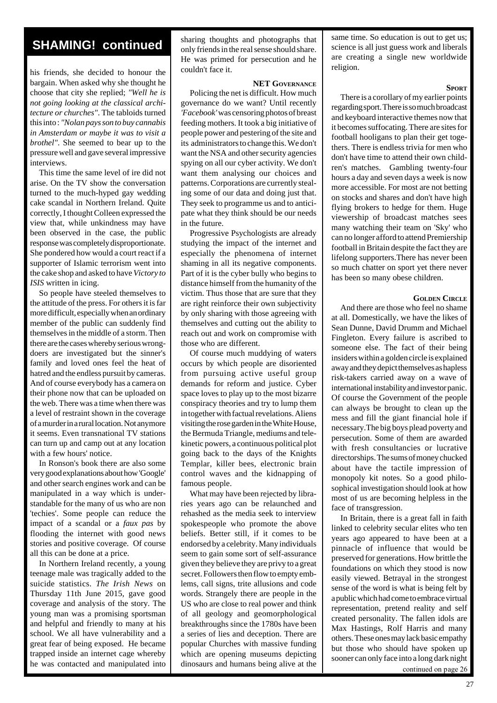## **SHAMING! continued**

his friends, she decided to honour the bargain. When asked why she thought he choose that city she replied; *"Well he is not going looking at the classical architecture or churches"*. The tabloids turned this into : *"Nolan pays son to buy cannabis in Amsterdam or maybe it was to visit a brothel"*. She seemed to bear up to the pressure well and gave several impressive interviews.

This time the same level of ire did not arise. On the TV show the conversation turned to the much-hyped gay wedding cake scandal in Northern Ireland. Quite correctly, I thought Colleen expressed the view that, while unkindness may have been observed in the case, the public response was completely disproportionate. She pondered how would a court react if a supporter of Islamic terrorism went into the cake shop and asked to have*Victory to ISIS* written in icing.

So people have steeled themselves to the attitude of the press. For others it is far more difficult, especially when an ordinary member of the public can suddenly find themselves in the middle of a storm. Then there are the cases whereby serious wrongdoers are investigated but the sinner's family and loved ones feel the heat of hatred and the endless pursuit by cameras. And of course everybody has a camera on their phone now that can be uploaded on the web. There was a time when there was a level of restraint shown in the coverage of a murder in a rural location. Not anymore it seems. Even transnational TV stations can turn up and camp out at any location with a few hours' notice.

In Ronson's book there are also some very good explanations about how 'Google' and other search engines work and can be manipulated in a way which is understandable for the many of us who are non 'techies'. Some people can reduce the impact of a scandal or a *faux pas* by flooding the internet with good news stories and positive coverage. Of course all this can be done at a price.

In Northern Ireland recently, a young teenage male was tragically added to the suicide statistics. *The Irish News* on Thursday 11th June 2015, gave good coverage and analysis of the story. The young man was a promising sportsman and helpful and friendly to many at his school. We all have vulnerability and a great fear of being exposed. He became trapped inside an internet cage whereby he was contacted and manipulated into sharing thoughts and photographs that only friends in the real sense should share. He was primed for persecution and he couldn't face it.

## **NET GOVERNANCE**

Policing the net is difficult. How much governance do we want? Until recently *'Facebook'*was censoring photos of breast feeding mothers. It took a big initiative of people power and pestering of the site and its administrators to change this. We don't want the NSA and other security agencies spying on all our cyber activity. We don't want them analysing our choices and patterns. Corporations are currently stealing some of our data and doing just that. They seek to programme us and to anticipate what they think should be our needs in the future.

Progressive Psychologists are already studying the impact of the internet and especially the phenomena of internet shaming in all its negative components. Part of it is the cyber bully who begins to distance himself from the humanity of the victim. Thus those that are sure that they are right reinforce their own subjectivity by only sharing with those agreeing with themselves and cutting out the ability to reach out and work on compromise with those who are different.

Of course much muddying of waters occurs by which people are disoriented from pursuing active useful group demands for reform and justice. Cyber space loves to play up to the most bizarre conspiracy theories and try to lump them in together with factual revelations. Aliens visiting the rose garden in the White House, the Bermuda Triangle, mediums and telekinetic powers, a continuous political plot going back to the days of the Knights Templar, killer bees, electronic brain control waves and the kidnapping of famous people.

What may have been rejected by libraries years ago can be relaunched and rehashed as the media seek to interview spokespeople who promote the above beliefs. Better still, if it comes to be endorsed by a celebrity. Many individuals seem to gain some sort of self-assurance given they believe they are privy to a great secret. Followers then flow to empty emblems, call signs, trite allusions and code words. Strangely there are people in the US who are close to real power and think of all geology and geomorphological breakthroughs since the 1780s have been a series of lies and deception. There are popular Churches with massive funding which are opening museums depicting dinosaurs and humans being alive at the

same time. So education is out to get us; science is all just guess work and liberals are creating a single new worldwide religion.

#### **SPORT**

There is a corollary of my earlier points regarding sport. There is so much broadcast and keyboard interactive themes now that it becomes suffocating. There are sites for football hooligans to plan their get togethers. There is endless trivia for men who don't have time to attend their own children's matches. Gambling twenty-four hours a day and seven days a week is now more accessible. For most are not betting on stocks and shares and don't have high flying brokers to hedge for them. Huge viewership of broadcast matches sees many watching their team on 'Sky' who can no longer afford to attend Premiership football in Britain despite the fact they are lifelong supporters.There has never been so much chatter on sport yet there never has been so many obese children.

## **GOLDEN CIRCLE**

And there are those who feel no shame at all. Domestically, we have the likes of Sean Dunne, David Drumm and Michael Fingleton. Every failure is ascribed to someone else. The fact of their being insiders within a golden circle is explained away and they depict themselves as hapless risk-takers carried away on a wave of international instability and investor panic. Of course the Government of the people can always be brought to clean up the mess and fill the giant financial hole if necessary.The big boys plead poverty and persecution. Some of them are awarded with fresh consultancies or lucrative directorships. The sums of money chucked about have the tactile impression of monopoly kit notes. So a good philosophical investigation should look at how most of us are becoming helpless in the face of transgression.

In Britain, there is a great fall in faith linked to celebrity secular elites who ten years ago appeared to have been at a pinnacle of influence that would be preserved for generations. How brittle the foundations on which they stood is now easily viewed. Betrayal in the strongest sense of the word is what is being felt by a public which had come to embrace virtual representation, pretend reality and self created personality. The fallen idols are Max Hastings, Rolf Harris and many others. These ones may lack basic empathy but those who should have spoken up sooner can only face into a long dark night

continued on page 26